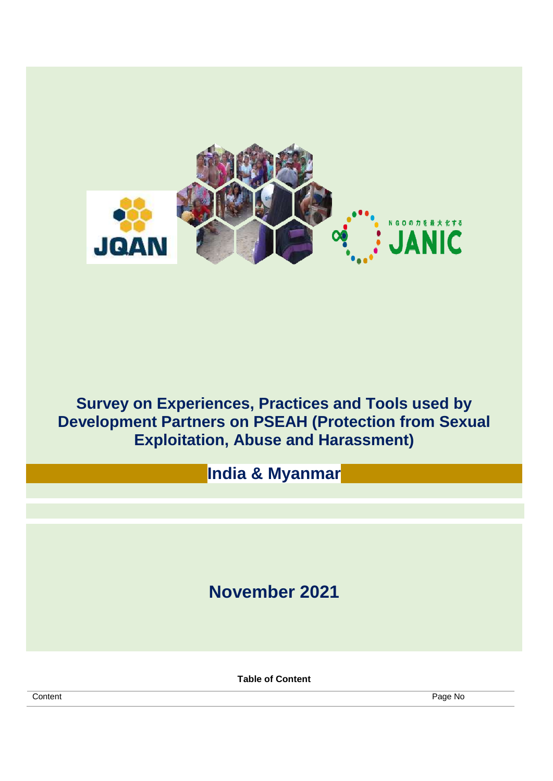

# **Survey on Experiences, Practices and Tools used by Development Partners on PSEAH (Protection from Sexual Exploitation, Abuse and Harassment)**

**India & Myanmar**

# **November 2021**

**Table of Content**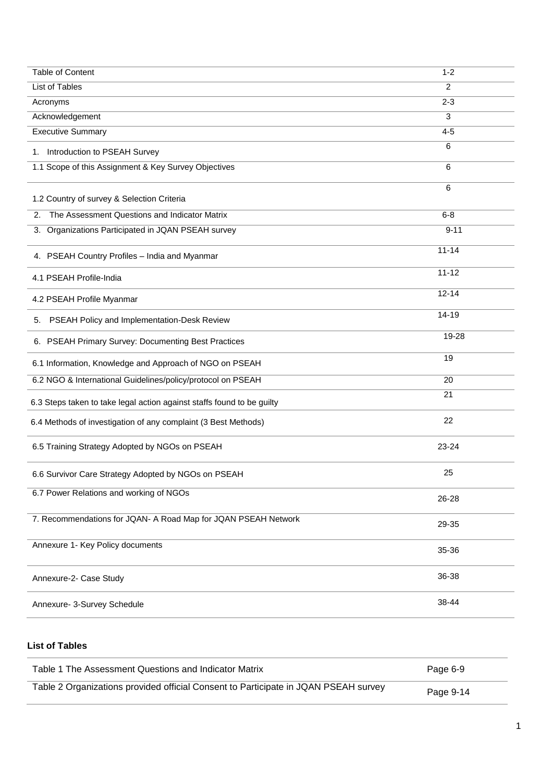| Table of Content                                                       | $1 - 2$   |
|------------------------------------------------------------------------|-----------|
| <b>List of Tables</b>                                                  | 2         |
| Acronyms                                                               | $2 - 3$   |
| Acknowledgement                                                        | 3         |
| <b>Executive Summary</b>                                               | $4 - 5$   |
| 1. Introduction to PSEAH Survey                                        | 6         |
| 1.1 Scope of this Assignment & Key Survey Objectives                   | 6         |
| 1.2 Country of survey & Selection Criteria                             | 6         |
| The Assessment Questions and Indicator Matrix<br>2.                    | $6 - 8$   |
| 3. Organizations Participated in JQAN PSEAH survey                     | $9 - 11$  |
| 4. PSEAH Country Profiles - India and Myanmar                          | $11 - 14$ |
| 4.1 PSEAH Profile-India                                                | $11 - 12$ |
| 4.2 PSEAH Profile Myanmar                                              | $12 - 14$ |
| 5. PSEAH Policy and Implementation-Desk Review                         | $14 - 19$ |
| 6. PSEAH Primary Survey: Documenting Best Practices                    | 19-28     |
| 6.1 Information, Knowledge and Approach of NGO on PSEAH                | 19        |
| 6.2 NGO & International Guidelines/policy/protocol on PSEAH            | 20        |
| 6.3 Steps taken to take legal action against staffs found to be guilty | 21        |
| 6.4 Methods of investigation of any complaint (3 Best Methods)         | 22        |
| 6.5 Training Strategy Adopted by NGOs on PSEAH                         | 23-24     |
| 6.6 Survivor Care Strategy Adopted by NGOs on PSEAH                    | 25        |
| 6.7 Power Relations and working of NGOs                                | 26-28     |
| 7. Recommendations for JQAN- A Road Map for JQAN PSEAH Network         | 29-35     |
| Annexure 1- Key Policy documents                                       | 35-36     |
| Annexure-2- Case Study                                                 | 36-38     |
| Annexure- 3-Survey Schedule                                            | 38-44     |

## **List of Tables**

| Table 1 The Assessment Questions and Indicator Matrix                               | Page 6-9  |
|-------------------------------------------------------------------------------------|-----------|
| Table 2 Organizations provided official Consent to Participate in JQAN PSEAH survey | Page 9-14 |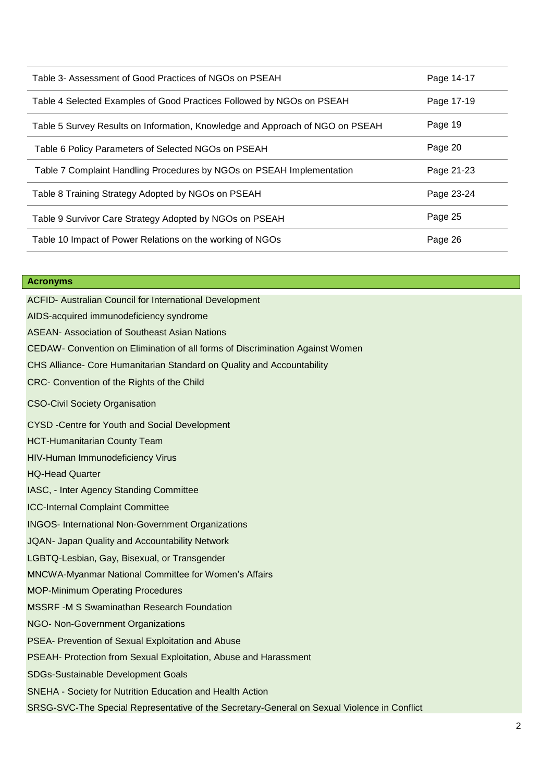| Table 3- Assessment of Good Practices of NGOs on PSEAH                        | Page 14-17 |
|-------------------------------------------------------------------------------|------------|
| Table 4 Selected Examples of Good Practices Followed by NGOs on PSEAH         | Page 17-19 |
| Table 5 Survey Results on Information, Knowledge and Approach of NGO on PSEAH | Page 19    |
| Table 6 Policy Parameters of Selected NGOs on PSEAH                           | Page 20    |
| Table 7 Complaint Handling Procedures by NGOs on PSEAH Implementation         | Page 21-23 |
| Table 8 Training Strategy Adopted by NGOs on PSEAH                            | Page 23-24 |
| Table 9 Survivor Care Strategy Adopted by NGOs on PSEAH                       | Page 25    |
| Table 10 Impact of Power Relations on the working of NGOs                     | Page 26    |

#### **Acronyms**

ACFID- Australian Council for International Development AIDS-acquired immunodeficiency syndrome ASEAN- Association of Southeast Asian Nations CEDAW- Convention on Elimination of all forms of Discrimination Against Women CHS Alliance- Core Humanitarian Standard on Quality and Accountability CRC- Convention of the Rights of the Child CSO-Civil Society Organisation CYSD -Centre for Youth and Social Development HCT-Humanitarian County Team HIV-Human Immunodeficiency Virus HQ-Head Quarter IASC, - Inter Agency Standing Committee

ICC-Internal Complaint Committee

INGOS- International Non-Government Organizations

JQAN- Japan Quality and Accountability Network

LGBTQ-Lesbian, Gay, Bisexual, or Transgender

MNCWA-Myanmar National Committee for Women's Affairs

MOP-Minimum Operating Procedures

MSSRF -M S Swaminathan Research Foundation

NGO- Non-Government Organizations

PSEA- Prevention of Sexual Exploitation and Abuse

PSEAH- Protection from Sexual Exploitation, Abuse and Harassment

SDGs-Sustainable Development Goals

SNEHA - Society for Nutrition Education and Health Action

SRSG-SVC-The Special Representative of the Secretary-General on Sexual Violence in Conflict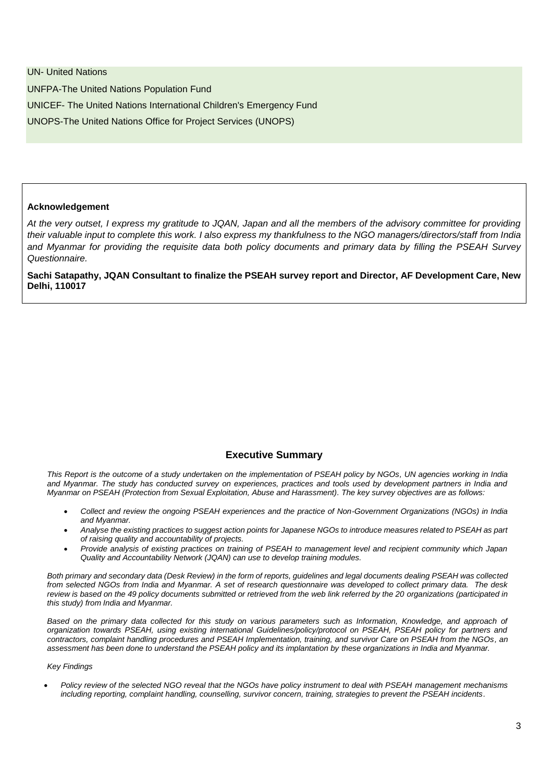UN- United Nations UNFPA-The United Nations Population Fund UNICEF- The United Nations International Children's Emergency Fund UNOPS-The United Nations Office for Project Services (UNOPS)

#### **Acknowledgement**

*At the very outset, I express my gratitude to JQAN, Japan and all the members of the advisory committee for providing their valuable input to complete this work. I also express my thankfulness to the NGO managers/directors/staff from India and Myanmar for providing the requisite data both policy documents and primary data by filling the PSEAH Survey Questionnaire.*

**Sachi Satapathy, JQAN Consultant to finalize the PSEAH survey report and Director, AF Development Care, New Delhi, 110017**

## **Executive Summary**

*This Report is the outcome of a study undertaken on the implementation of PSEAH policy by NGOs, UN agencies working in India and Myanmar. The study has conducted survey on experiences, practices and tools used by development partners in India and Myanmar on PSEAH (Protection from Sexual Exploitation, Abuse and Harassment). The key survey objectives are as follows:*

- *Collect and review the ongoing PSEAH experiences and the practice of Non-Government Organizations (NGOs) in India and Myanmar.*
- *Analyse the existing practices to suggest action points for Japanese NGOs to introduce measures related to PSEAH as part of raising quality and accountability of projects.*
- *Provide analysis of existing practices on training of PSEAH to management level and recipient community which Japan Quality and Accountability Network (JQAN) can use to develop training modules.*

*Both primary and secondary data (Desk Review) in the form of reports, guidelines and legal documents dealing PSEAH was collected from selected NGOs from India and Myanmar. A set of research questionnaire was developed to collect primary data. The desk*  review is based on the 49 policy documents submitted or retrieved from the web link referred by the 20 organizations (participated in *this study) from India and Myanmar.* 

Based on the primary data collected for this study on various parameters such as Information, Knowledge, and approach of *organization towards PSEAH, using existing international Guidelines/policy/protocol on PSEAH, PSEAH policy for partners and contractors, complaint handling procedures and PSEAH Implementation, training, and survivor Care on PSEAH from the NGOs, an assessment has been done to understand the PSEAH policy and its implantation by these organizations in India and Myanmar.* 

#### *Key Findings*

 *Policy review of the selected NGO reveal that the NGOs have policy instrument to deal with PSEAH management mechanisms including reporting, complaint handling, counselling, survivor concern, training, strategies to prevent the PSEAH incidents.*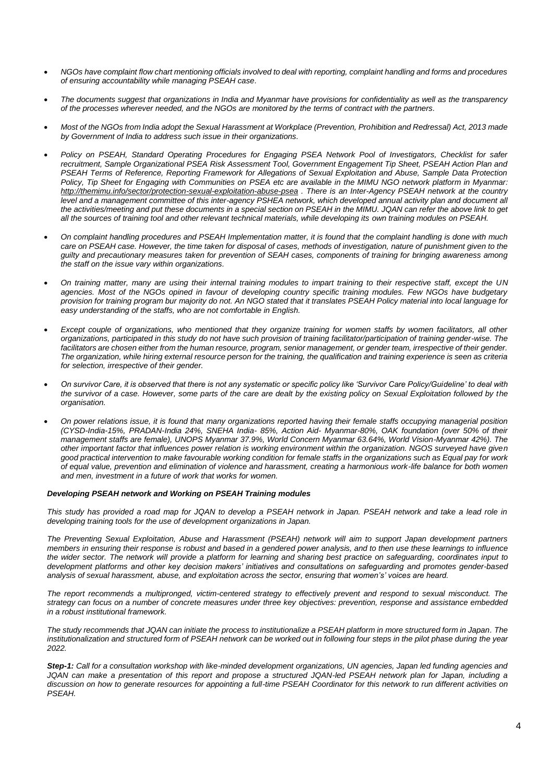- *NGOs have complaint flow chart mentioning officials involved to deal with reporting, complaint handling and forms and procedures of ensuring accountability while managing PSEAH case.*
- *The documents suggest that organizations in India and Myanmar have provisions for confidentiality as well as the transparency of the processes wherever needed, and the NGOs are monitored by the terms of contract with the partners.*
- *Most of the NGOs from India adopt the Sexual Harassment at Workplace (Prevention, Prohibition and Redressal) Act, 2013 made by Government of India to address such issue in their organizations.*
- *Policy on PSEAH, Standard Operating Procedures for Engaging PSEA Network Pool of Investigators, Checklist for safer recruitment, Sample Organizational PSEA Risk Assessment Tool, Government Engagement Tip Sheet, PSEAH Action Plan and PSEAH Terms of Reference, Reporting Framework for Allegations of Sexual Exploitation and Abuse, Sample Data Protection Policy, Tip Sheet for Engaging with Communities on PSEA etc are available in the MIMU NGO network platform in Myanmar: <http://themimu.info/sector/protection-sexual-exploitation-abuse-psea> . There is an Inter-Agency PSEAH network at the country level and a management committee of this inter-agency PSHEA network, which developed annual activity plan and document all the activities/meeting and put these documents in a special section on PSEAH in the MIMU. JQAN can refer the above link to get all the sources of training tool and other relevant technical materials, while developing its own training modules on PSEAH.*
- *On complaint handling procedures and PSEAH Implementation matter, it is found that the complaint handling is done with much care on PSEAH case. However, the time taken for disposal of cases, methods of investigation, nature of punishment given to the guilty and precautionary measures taken for prevention of SEAH cases, components of training for bringing awareness among the staff on the issue vary within organizations.*
- *On training matter, many are using their internal training modules to impart training to their respective staff, except the UN agencies. Most of the NGOs opined in favour of developing country specific training modules. Few NGOs have budgetary provision for training program bur majority do not. An NGO stated that it translates PSEAH Policy material into local language for easy understanding of the staffs, who are not comfortable in English.*
- *Except couple of organizations, who mentioned that they organize training for women staffs by women facilitators, all other organizations, participated in this study do not have such provision of training facilitator/participation of training gender-wise. The facilitators are chosen either from the human resource, program, senior management, or gender team, irrespective of their gender. The organization, while hiring external resource person for the training, the qualification and training experience is seen as criteria for selection, irrespective of their gender.*
- *On survivor Care, it is observed that there is not any systematic or specific policy like 'Survivor Care Policy/Guideline' to deal with the survivor of a case. However, some parts of the care are dealt by the existing policy on Sexual Exploitation followed by the organisation.*
- *On power relations issue, it is found that many organizations reported having their female staffs occupying managerial position (CYSD-India-15%, PRADAN-India 24%, SNEHA India- 85%, Action Aid- Myanmar-80%, OAK foundation (over 50% of their management staffs are female), UNOPS Myanmar 37.9%, World Concern Myanmar 63.64%, World Vision-Myanmar 42%). The other important factor that influences power relation is working environment within the organization. NGOS surveyed have given good practical intervention to make favourable working condition for female staffs in the organizations such as Equal pay for work of equal value, prevention and elimination of violence and harassment, creating a harmonious work-life balance for both women and men, investment in a future of work that works for women.*

#### *Developing PSEAH network and Working on PSEAH Training modules*

*This study has provided a road map for JQAN to develop a PSEAH network in Japan. PSEAH network and take a lead role in developing training tools for the use of development organizations in Japan.*

*The Preventing Sexual Exploitation, Abuse and Harassment (PSEAH) network will aim to support Japan development partners members in ensuring their response is robust and based in a gendered power analysis, and to then use these learnings to influence the wider sector. The network will provide a platform for learning and sharing best practice on safeguarding, coordinates input to development platforms and other key decision makers' initiatives and consultations on safeguarding and promotes gender-based analysis of sexual harassment, abuse, and exploitation across the sector, ensuring that women's' voices are heard.*

*The report recommends a multipronged, victim-centered strategy to effectively prevent and respond to sexual misconduct. The strategy can focus on a number of concrete measures under three key objectives: prevention, response and assistance embedded in a robust institutional framework.*

*The study recommends that JQAN can initiate the process to institutionalize a PSEAH platform in more structured form in Japan. The institutionalization and structured form of PSEAH network can be worked out in following four steps in the pilot phase during the year 2022.* 

*Step-1: Call for a consultation workshop with like-minded development organizations, UN agencies, Japan led funding agencies and JQAN can make a presentation of this report and propose a structured JQAN-led PSEAH network plan for Japan, including a discussion on how to generate resources for appointing a full-time PSEAH Coordinator for this network to run different activities on PSEAH.*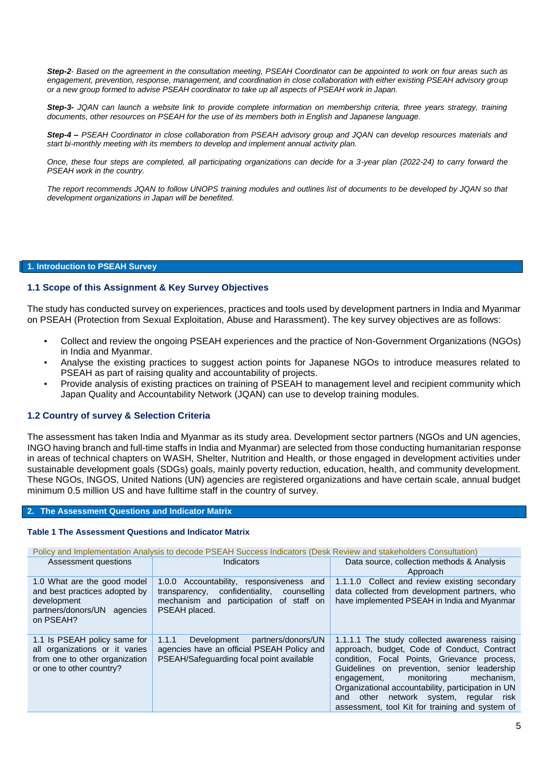*Step-2- Based on the agreement in the consultation meeting, PSEAH Coordinator can be appointed to work on four areas such as engagement, prevention, response, management, and coordination in close collaboration with either existing PSEAH advisory group or a new group formed to advise PSEAH coordinator to take up all aspects of PSEAH work in Japan.* 

*Step-3- JQAN can launch a website link to provide complete information on membership criteria, three years strategy, training documents, other resources on PSEAH for the use of its members both in English and Japanese language.* 

*Step-4 – PSEAH Coordinator in close collaboration from PSEAH advisory group and JQAN can develop resources materials and start bi-monthly meeting with its members to develop and implement annual activity plan.*

*Once, these four steps are completed, all participating organizations can decide for a 3-year plan (2022-24) to carry forward the PSEAH work in the country.* 

*The report recommends JQAN to follow UNOPS training modules and outlines list of documents to be developed by JQAN so that development organizations in Japan will be benefited.*

**1. Introduction to PSEAH Survey**

## **1.1 Scope of this Assignment & Key Survey Objectives**

The study has conducted survey on experiences, practices and tools used by development partners in India and Myanmar on PSEAH (Protection from Sexual Exploitation, Abuse and Harassment). The key survey objectives are as follows:

- Collect and review the ongoing PSEAH experiences and the practice of Non-Government Organizations (NGOs) in India and Myanmar.
- Analyse the existing practices to suggest action points for Japanese NGOs to introduce measures related to PSEAH as part of raising quality and accountability of projects.
- Provide analysis of existing practices on training of PSEAH to management level and recipient community which Japan Quality and Accountability Network (JQAN) can use to develop training modules.

## **1.2 Country of survey & Selection Criteria**

The assessment has taken India and Myanmar as its study area. Development sector partners (NGOs and UN agencies, INGO having branch and full-time staffs in India and Myanmar) are selected from those conducting humanitarian response in areas of technical chapters on WASH, Shelter, Nutrition and Health, or those engaged in development activities under sustainable development goals (SDGs) goals, mainly poverty reduction, education, health, and community development. These NGOs, INGOS, United Nations (UN) agencies are registered organizations and have certain scale, annual budget minimum 0.5 million US and have fulltime staff in the country of survey.

#### **2. The Assessment Questions and Indicator Matrix**

#### **Table 1 The Assessment Questions and Indicator Matrix**

Policy and Implementation Analysis to decode PSEAH Success Indicators (Desk Review and stakeholders Consultation)

| Assessment questions                                                                                                         | Indicators                                                                                                                                            | Data source, collection methods & Analysis<br>Approach                                                                                                                                                                                                                                                                                                                                         |
|------------------------------------------------------------------------------------------------------------------------------|-------------------------------------------------------------------------------------------------------------------------------------------------------|------------------------------------------------------------------------------------------------------------------------------------------------------------------------------------------------------------------------------------------------------------------------------------------------------------------------------------------------------------------------------------------------|
| 1.0 What are the good model<br>and best practices adopted by<br>development<br>partners/donors/UN agencies<br>on PSEAH?      | 1.0.0 Accountability, responsiveness and<br>transparency, confidentiality,<br>counselling<br>mechanism and participation of staff on<br>PSEAH placed. | 1.1.1.0 Collect and review existing secondary<br>data collected from development partners, who<br>have implemented PSEAH in India and Myanmar                                                                                                                                                                                                                                                  |
| 1.1 Is PSEAH policy same for<br>all organizations or it varies<br>from one to other organization<br>or one to other country? | partners/donors/UN<br>Development<br>1.1.1<br>agencies have an official PSEAH Policy and<br>PSEAH/Safeguarding focal point available                  | 1.1.1.1 The study collected awareness raising<br>approach, budget, Code of Conduct, Contract<br>condition, Focal Points, Grievance process,<br>Guidelines on prevention, senior leadership<br>monitoring<br>mechanism,<br>engagement,<br>Organizational accountability, participation in UN<br>network system,<br>regular risk<br>and other<br>assessment, tool Kit for training and system of |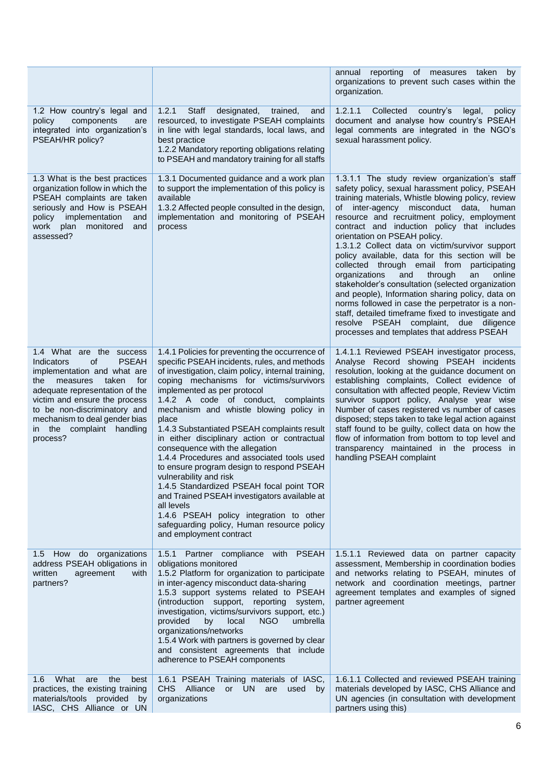|                                                                                                                                                                                                                                                                                                                  |                                                                                                                                                                                                                                                                                                                                                                                                                                                                                                                                                                                                                                                                                                                                                                                                                 | annual reporting of measures taken<br>by<br>organizations to prevent such cases within the<br>organization.                                                                                                                                                                                                                                                                                                                                                                                                                                                                                                                                                                                                                                                                                                                                        |
|------------------------------------------------------------------------------------------------------------------------------------------------------------------------------------------------------------------------------------------------------------------------------------------------------------------|-----------------------------------------------------------------------------------------------------------------------------------------------------------------------------------------------------------------------------------------------------------------------------------------------------------------------------------------------------------------------------------------------------------------------------------------------------------------------------------------------------------------------------------------------------------------------------------------------------------------------------------------------------------------------------------------------------------------------------------------------------------------------------------------------------------------|----------------------------------------------------------------------------------------------------------------------------------------------------------------------------------------------------------------------------------------------------------------------------------------------------------------------------------------------------------------------------------------------------------------------------------------------------------------------------------------------------------------------------------------------------------------------------------------------------------------------------------------------------------------------------------------------------------------------------------------------------------------------------------------------------------------------------------------------------|
| 1.2 How country's legal and<br>components<br>policy<br>are<br>integrated into organization's<br>PSEAH/HR policy?                                                                                                                                                                                                 | 1.2.1<br>Staff<br>designated,<br>trained,<br>and<br>resourced, to investigate PSEAH complaints<br>in line with legal standards, local laws, and<br>best practice<br>1.2.2 Mandatory reporting obligations relating<br>to PSEAH and mandatory training for all staffs                                                                                                                                                                                                                                                                                                                                                                                                                                                                                                                                            | 1.2.1.1<br>Collected<br>country's<br>legal,<br>policy<br>document and analyse how country's PSEAH<br>legal comments are integrated in the NGO's<br>sexual harassment policy.                                                                                                                                                                                                                                                                                                                                                                                                                                                                                                                                                                                                                                                                       |
| 1.3 What is the best practices<br>organization follow in which the<br>PSEAH complaints are taken<br>seriously and How is PSEAH<br>implementation<br>policy<br>and<br>plan monitored<br>work<br>and<br>assessed?                                                                                                  | 1.3.1 Documented guidance and a work plan<br>to support the implementation of this policy is<br>available<br>1.3.2 Affected people consulted in the design,<br>implementation and monitoring of PSEAH<br>process                                                                                                                                                                                                                                                                                                                                                                                                                                                                                                                                                                                                | 1.3.1.1 The study review organization's staff<br>safety policy, sexual harassment policy, PSEAH<br>training materials, Whistle blowing policy, review<br>of inter-agency misconduct data,<br>human<br>resource and recruitment policy, employment<br>contract and induction policy that includes<br>orientation on PSEAH policy.<br>1.3.1.2 Collect data on victim/survivor support<br>policy available, data for this section will be<br>collected through email from participating<br>organizations<br>and<br>through<br>online<br>an<br>stakeholder's consultation (selected organization<br>and people), Information sharing policy, data on<br>norms followed in case the perpetrator is a non-<br>staff, detailed timeframe fixed to investigate and<br>resolve PSEAH complaint, due diligence<br>processes and templates that address PSEAH |
| 1.4 What are the success<br>of<br><b>PSEAH</b><br>Indicators<br>implementation and what are<br>measures<br>taken<br>for<br>the<br>adequate representation of the<br>victim and ensure the process<br>to be non-discriminatory and<br>mechanism to deal gender bias<br>the complaint handling<br>in l<br>process? | 1.4.1 Policies for preventing the occurrence of<br>specific PSEAH incidents, rules, and methods<br>of investigation, claim policy, internal training,<br>coping mechanisms for victims/survivors<br>implemented as per protocol<br>1.4.2 A code of conduct, complaints<br>mechanism and whistle blowing policy in<br>place<br>1.4.3 Substantiated PSEAH complaints result<br>in either disciplinary action or contractual<br>consequence with the allegation<br>1.4.4 Procedures and associated tools used<br>to ensure program design to respond PSEAH<br>vulnerability and risk<br>1.4.5 Standardized PSEAH focal point TOR<br>and Trained PSEAH investigators available at<br>all levels<br>1.4.6 PSEAH policy integration to other<br>safeguarding policy, Human resource policy<br>and employment contract | 1.4.1.1 Reviewed PSEAH investigator process,<br>Analyse Record showing PSEAH incidents<br>resolution, looking at the guidance document on<br>establishing complaints, Collect evidence of<br>consultation with affected people, Review Victim<br>survivor support policy, Analyse year wise<br>Number of cases registered vs number of cases<br>disposed; steps taken to take legal action against<br>staff found to be guilty, collect data on how the<br>flow of information from bottom to top level and<br>transparency maintained in the process in<br>handling PSEAH complaint                                                                                                                                                                                                                                                               |
| 1.5 How do organizations<br>address PSEAH obligations in<br>written<br>agreement<br>with<br>partners?                                                                                                                                                                                                            | <b>PSEAH</b><br>1.5.1 Partner compliance<br>with<br>obligations monitored<br>1.5.2 Platform for organization to participate<br>in inter-agency misconduct data-sharing<br>1.5.3 support systems related to PSEAH<br>(introduction support, reporting system,<br>investigation, victims/survivors support, etc.)<br>provided<br>by<br>local<br>NGO<br>umbrella<br>organizations/networks<br>1.5.4 Work with partners is governed by clear<br>and consistent agreements that include<br>adherence to PSEAH components                                                                                                                                                                                                                                                                                             | 1.5.1.1 Reviewed data on partner capacity<br>assessment, Membership in coordination bodies<br>and networks relating to PSEAH, minutes of<br>network and coordination meetings, partner<br>agreement templates and examples of signed<br>partner agreement                                                                                                                                                                                                                                                                                                                                                                                                                                                                                                                                                                                          |
| What<br>the<br>1.6<br>are<br>best<br>practices, the existing training<br>materials/tools provided by<br>IASC, CHS Alliance or UN                                                                                                                                                                                 | 1.6.1 PSEAH Training materials of IASC,<br>CHS Alliance<br>or UN<br>are<br>used<br>by<br>organizations                                                                                                                                                                                                                                                                                                                                                                                                                                                                                                                                                                                                                                                                                                          | 1.6.1.1 Collected and reviewed PSEAH training<br>materials developed by IASC, CHS Alliance and<br>UN agencies (in consultation with development<br>partners using this)                                                                                                                                                                                                                                                                                                                                                                                                                                                                                                                                                                                                                                                                            |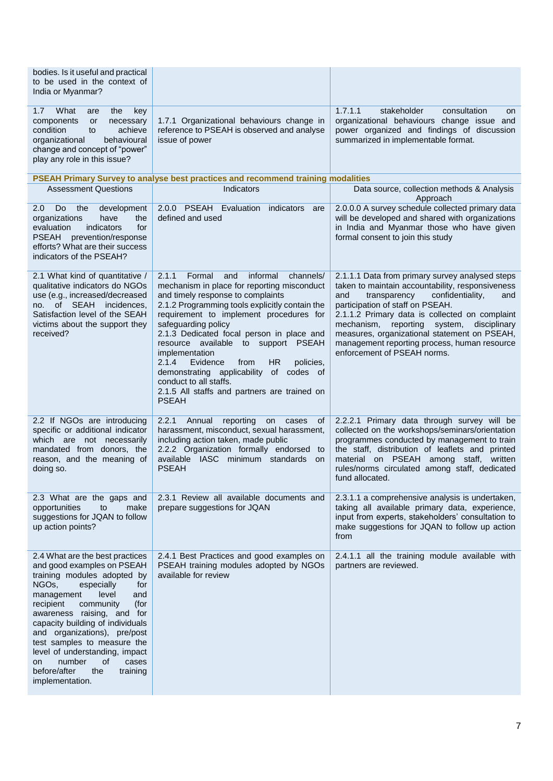| bodies. Is it useful and practical<br>to be used in the context of<br>India or Myanmar?                                                                                                                                                                                                                                                                                                                                                                         |                                                                                                                                                                                                                                                                                                                                                                                                                                                                                                                                                                 |                                                                                                                                                                                                                                                                                                                                                                                                                               |
|-----------------------------------------------------------------------------------------------------------------------------------------------------------------------------------------------------------------------------------------------------------------------------------------------------------------------------------------------------------------------------------------------------------------------------------------------------------------|-----------------------------------------------------------------------------------------------------------------------------------------------------------------------------------------------------------------------------------------------------------------------------------------------------------------------------------------------------------------------------------------------------------------------------------------------------------------------------------------------------------------------------------------------------------------|-------------------------------------------------------------------------------------------------------------------------------------------------------------------------------------------------------------------------------------------------------------------------------------------------------------------------------------------------------------------------------------------------------------------------------|
| What<br>1.7<br>the<br>key<br>are<br>components<br>or<br>necessary<br>condition<br>achieve<br>to<br>behavioural<br>organizational<br>change and concept of "power"<br>play any role in this issue?                                                                                                                                                                                                                                                               | 1.7.1 Organizational behaviours change in<br>reference to PSEAH is observed and analyse<br>issue of power                                                                                                                                                                                                                                                                                                                                                                                                                                                       | 1.7.1.1<br>stakeholder<br>consultation<br>on<br>organizational behaviours change issue and<br>power organized and findings of discussion<br>summarized in implementable format.                                                                                                                                                                                                                                               |
|                                                                                                                                                                                                                                                                                                                                                                                                                                                                 | PSEAH Primary Survey to analyse best practices and recommend training modalities                                                                                                                                                                                                                                                                                                                                                                                                                                                                                |                                                                                                                                                                                                                                                                                                                                                                                                                               |
| <b>Assessment Questions</b>                                                                                                                                                                                                                                                                                                                                                                                                                                     | Indicators                                                                                                                                                                                                                                                                                                                                                                                                                                                                                                                                                      | Data source, collection methods & Analysis<br>Approach                                                                                                                                                                                                                                                                                                                                                                        |
| Do<br>the<br>$2.0^{\circ}$<br>development<br>organizations<br>have<br>the<br>indicators<br>for<br>evaluation<br><b>PSEAH</b><br>prevention/response<br>efforts? What are their success<br>indicators of the PSEAH?                                                                                                                                                                                                                                              | 2.0.0 PSEAH Evaluation indicators<br>are<br>defined and used                                                                                                                                                                                                                                                                                                                                                                                                                                                                                                    | 2.0.0.0 A survey schedule collected primary data<br>will be developed and shared with organizations<br>in India and Myanmar those who have given<br>formal consent to join this study                                                                                                                                                                                                                                         |
| 2.1 What kind of quantitative /<br>qualitative indicators do NGOs<br>use (e.g., increased/decreased<br>no. of SEAH incidences.<br>Satisfaction level of the SEAH<br>victims about the support they<br>received?                                                                                                                                                                                                                                                 | 2.1.1<br>Formal<br>informal<br>channels/<br>and<br>mechanism in place for reporting misconduct<br>and timely response to complaints<br>2.1.2 Programming tools explicitly contain the<br>requirement to implement procedures for<br>safeguarding policy<br>2.1.3 Dedicated focal person in place and<br>resource available to support PSEAH<br>implementation<br>2.1.4<br>Evidence<br><b>HR</b><br>policies,<br>from<br>demonstrating applicability<br>of<br>codes of<br>conduct to all staffs.<br>2.1.5 All staffs and partners are trained on<br><b>PSEAH</b> | 2.1.1.1 Data from primary survey analysed steps<br>taken to maintain accountability, responsiveness<br>transparency<br>confidentiality,<br>and<br>and<br>participation of staff on PSEAH.<br>2.1.1.2 Primary data is collected on complaint<br>mechanism, reporting<br>system,<br>disciplinary<br>measures, organizational statement on PSEAH,<br>management reporting process, human resource<br>enforcement of PSEAH norms. |
| 2.2 If NGOs are introducing<br>specific or additional indicator<br>which are not necessarily<br>mandated from donors, the<br>reason, and the meaning of<br>doing so.                                                                                                                                                                                                                                                                                            | 2.2.1<br>Annual<br>reporting<br>0f<br>on<br>cases<br>harassment, misconduct, sexual harassment,<br>including action taken, made public<br>2.2.2 Organization formally endorsed to<br>available IASC minimum standards on<br><b>PSEAH</b>                                                                                                                                                                                                                                                                                                                        | 2.2.2.1 Primary data through survey will be<br>collected on the workshops/seminars/orientation<br>programmes conducted by management to train<br>the staff, distribution of leaflets and printed<br>material on PSEAH among staff, written<br>rules/norms circulated among staff, dedicated<br>fund allocated.                                                                                                                |
| 2.3 What are the gaps and<br>make<br>opportunities<br>to<br>suggestions for JQAN to follow<br>up action points?                                                                                                                                                                                                                                                                                                                                                 | 2.3.1 Review all available documents and<br>prepare suggestions for JQAN                                                                                                                                                                                                                                                                                                                                                                                                                                                                                        | 2.3.1.1 a comprehensive analysis is undertaken,<br>taking all available primary data, experience,<br>input from experts, stakeholders' consultation to<br>make suggestions for JQAN to follow up action<br>from                                                                                                                                                                                                               |
| 2.4 What are the best practices<br>and good examples on PSEAH<br>training modules adopted by<br>NGO <sub>s</sub> ,<br>especially<br>for<br>level<br>management<br>and<br>community<br>recipient<br>(for<br>awareness raising, and for<br>capacity building of individuals<br>and organizations), pre/post<br>test samples to measure the<br>level of understanding, impact<br>number<br>of<br>cases<br>on<br>before/after<br>the<br>training<br>implementation. | 2.4.1 Best Practices and good examples on<br>PSEAH training modules adopted by NGOs<br>available for review                                                                                                                                                                                                                                                                                                                                                                                                                                                     | 2.4.1.1 all the training module available with<br>partners are reviewed.                                                                                                                                                                                                                                                                                                                                                      |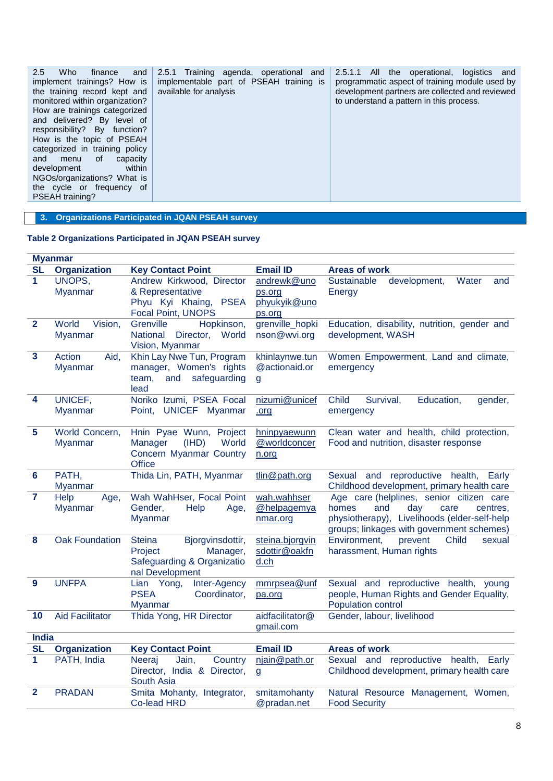| 2.5.1 Training agenda, operational and<br>2.5<br>Who<br>2.5.1.1<br>finance<br>and<br>implementable part of PSEAH training is<br>implement trainings? How is<br>available for analysis<br>the training record kept and<br>monitored within organization?<br>How are trainings categorized<br>and delivered? By level of<br>responsibility? By function?<br>How is the topic of PSEAH<br>categorized in training policy<br>and<br>of<br>capacity<br>menu<br>within<br>development<br>NGOs/organizations? What is<br>the cycle or frequency of<br>PSEAH training? | All<br>the operational, logistics<br>and<br>programmatic aspect of training module used by<br>development partners are collected and reviewed<br>to understand a pattern in this process. |
|----------------------------------------------------------------------------------------------------------------------------------------------------------------------------------------------------------------------------------------------------------------------------------------------------------------------------------------------------------------------------------------------------------------------------------------------------------------------------------------------------------------------------------------------------------------|-------------------------------------------------------------------------------------------------------------------------------------------------------------------------------------------|
|----------------------------------------------------------------------------------------------------------------------------------------------------------------------------------------------------------------------------------------------------------------------------------------------------------------------------------------------------------------------------------------------------------------------------------------------------------------------------------------------------------------------------------------------------------------|-------------------------------------------------------------------------------------------------------------------------------------------------------------------------------------------|

**3. Organizations Participated in JQAN PSEAH survey** 

## **Table 2 Organizations Participated in JQAN PSEAH survey**

|                | <b>Myanmar</b>                   |                                           |                              |                                                                                    |
|----------------|----------------------------------|-------------------------------------------|------------------------------|------------------------------------------------------------------------------------|
| <b>SL</b>      | <b>Organization</b>              | <b>Key Contact Point</b>                  | <b>Email ID</b>              | <b>Areas of work</b>                                                               |
| 1              | UNOPS,                           | Andrew Kirkwood, Director                 | andrewk@uno                  | Sustainable<br>development,<br>Water<br>and                                        |
|                | <b>Myanmar</b>                   | & Representative                          | ps.org                       | Energy                                                                             |
|                |                                  | Phyu Kyi Khaing, PSEA                     | phyukyik@uno                 |                                                                                    |
|                |                                  | <b>Focal Point, UNOPS</b>                 | ps.org                       |                                                                                    |
| $\overline{2}$ | World<br>Vision,                 | Grenville<br>Hopkinson,                   | grenville_hopki              | Education, disability, nutrition, gender and                                       |
|                | <b>Myanmar</b>                   | World<br>National<br>Director,            | nson@wvi.org                 | development, WASH                                                                  |
|                |                                  | Vision, Myanmar                           |                              |                                                                                    |
| $\mathbf{3}$   | Action<br>Aid,                   | Khin Lay Nwe Tun, Program                 | khinlaynwe.tun               | Women Empowerment, Land and climate,                                               |
|                | <b>Myanmar</b>                   | manager, Women's rights                   | @actionaid.or                | emergency                                                                          |
|                |                                  | team,<br>and<br>safeguarding              | g                            |                                                                                    |
|                |                                  | lead                                      |                              |                                                                                    |
| 4              | UNICEF,                          | Noriko Izumi, PSEA Focal                  | nizumi@unicef                | <b>Child</b><br>Education,<br>Survival,<br>gender,                                 |
|                | <b>Myanmar</b>                   | Point, UNICEF Myanmar                     | .org                         | emergency                                                                          |
| 5              |                                  |                                           |                              |                                                                                    |
|                | World Concern,<br><b>Myanmar</b> | Hnin Pyae Wunn, Project<br>(IHD)<br>World | hninpyaewunn<br>@worldconcer | Clean water and health, child protection,<br>Food and nutrition, disaster response |
|                |                                  | Manager<br>Concern Myanmar Country        |                              |                                                                                    |
|                |                                  | <b>Office</b>                             | n.org                        |                                                                                    |
| 6              | PATH,                            | Thida Lin, PATH, Myanmar                  | tlin@path.org                | Sexual and reproductive health,<br>Early                                           |
|                | <b>Myanmar</b>                   |                                           |                              | Childhood development, primary health care                                         |
| $\overline{7}$ | Help<br>Age,                     | Wah WahHser, Focal Point                  | wah.wahhser                  | Age care (helplines, senior citizen care                                           |
|                | <b>Myanmar</b>                   | Gender,<br>Help<br>Age,                   | @helpagemya                  | and<br>day<br>homes<br>care<br>centres,                                            |
|                |                                  | <b>Myanmar</b>                            | nmar.org                     | physiotherapy), Livelihoods (elder-self-help                                       |
|                |                                  |                                           |                              | groups; linkages with government schemes)                                          |
| 8              | <b>Oak Foundation</b>            | <b>Steina</b><br>Bjorgvinsdottir,         | steina.bjorgvin              | Environment,<br>Child<br>prevent<br>sexual                                         |
|                |                                  | Manager,<br>Project                       | sdottir@oakfn                | harassment, Human rights                                                           |
|                |                                  | Safeguarding & Organizatio                | d.ch                         |                                                                                    |
|                |                                  | nal Development                           |                              |                                                                                    |
| 9              | <b>UNFPA</b>                     | Inter-Agency<br>Lian Yong,                | mmrpsea@unf                  | Sexual and reproductive health, young                                              |
|                |                                  | <b>PSEA</b><br>Coordinator,               | pa.org                       | people, Human Rights and Gender Equality,                                          |
|                |                                  | <b>Myanmar</b>                            |                              | Population control                                                                 |
| 10             | <b>Aid Facilitator</b>           | Thida Yong, HR Director                   | aidfacilitator@              | Gender, labour, livelihood                                                         |
|                |                                  |                                           | gmail.com                    |                                                                                    |
| <b>India</b>   |                                  |                                           |                              |                                                                                    |
| <b>SL</b>      | <b>Organization</b>              | <b>Key Contact Point</b>                  | <b>Email ID</b>              | <b>Areas of work</b>                                                               |
| $\mathbf 1$    | PATH, India                      | Jain,<br>Country<br>Neeraj                | njain@path.or                | Sexual and reproductive<br>health,<br>Early                                        |
|                |                                  | Director, India & Director,               | $\mathbf{g}$                 | Childhood development, primary health care                                         |
| $\overline{2}$ |                                  | South Asia                                |                              |                                                                                    |
|                | <b>PRADAN</b>                    | Smita Mohanty, Integrator,                | smitamohanty                 | Natural Resource Management, Women,                                                |
|                |                                  | <b>Co-lead HRD</b>                        | @pradan.net                  | <b>Food Security</b>                                                               |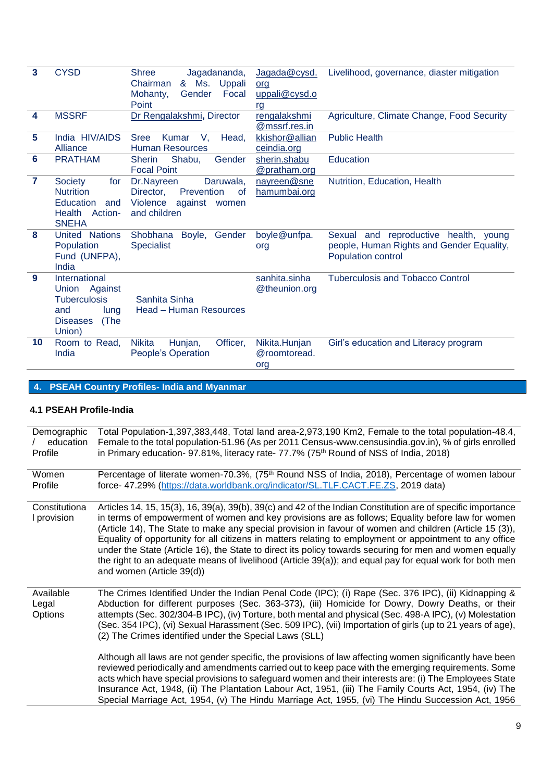| 3              | <b>CYSD</b>              | <b>Shree</b><br>Jagadananda,<br>Uppali<br>Chairman<br>& Ms. | Jagada@cysd.   | Livelihood, governance, diaster mitigation |
|----------------|--------------------------|-------------------------------------------------------------|----------------|--------------------------------------------|
|                |                          | Focal                                                       | org            |                                            |
|                |                          | Gender<br>Mohanty,                                          | uppali@cysd.o  |                                            |
|                |                          | Point                                                       | <u>rg</u>      |                                            |
| 4              | <b>MSSRF</b>             | Dr Rengalakshmi, Director                                   | rengalakshmi   | Agriculture, Climate Change, Food Security |
|                |                          |                                                             | @mssrf.res.in  |                                            |
| 5              | India HIV/AIDS           | <b>Sree</b><br>Kumar<br>V.<br>Head.                         | kkishor@allian | <b>Public Health</b>                       |
|                | Alliance                 | <b>Human Resources</b>                                      | ceindia.org    |                                            |
| 6              | <b>PRATHAM</b>           | Shabu,<br>Gender<br><b>Sherin</b>                           | sherin.shabu   | <b>Education</b>                           |
|                |                          | <b>Focal Point</b>                                          | @pratham.org   |                                            |
| $\overline{7}$ | Society<br>for           | Dr.Nayreen<br>Daruwala,                                     | nayreen@sne    | Nutrition, Education, Health               |
|                | <b>Nutrition</b>         | Prevention<br>Director,<br><sub>of</sub>                    | hamumbai.org   |                                            |
|                | Education<br>and         | Violence<br>against<br>women                                |                |                                            |
|                | <b>Health</b><br>Action- | and children                                                |                |                                            |
|                | <b>SNEHA</b>             |                                                             |                |                                            |
| 8              | United Nations           | Shobhana<br>Boyle,<br>Gender                                | boyle@unfpa.   | Sexual and reproductive health, young      |
|                | Population               | <b>Specialist</b>                                           | org            | people, Human Rights and Gender Equality,  |
|                | Fund (UNFPA),            |                                                             |                | Population control                         |
|                | India                    |                                                             |                |                                            |
| 9              | International            |                                                             | sanhita.sinha  | <b>Tuberculosis and Tobacco Control</b>    |
|                | Union Against            |                                                             | @theunion.org  |                                            |
|                | <b>Tuberculosis</b>      | Sanhita Sinha                                               |                |                                            |
|                |                          |                                                             |                |                                            |
|                | and<br>lung              | Head - Human Resources                                      |                |                                            |
|                | <b>Diseases</b><br>(The  |                                                             |                |                                            |
|                | Union)                   |                                                             |                |                                            |
| 10             | Room to Read,            | Officer,<br><b>Nikita</b><br>Hunjan,                        | Nikita.Hunjan  | Girl's education and Literacy program      |
|                | India                    | People's Operation                                          | @roomtoread.   |                                            |
|                |                          |                                                             | org            |                                            |
|                |                          |                                                             |                |                                            |

# **4. PSEAH Country Profiles- India and Myanmar**

## **4.1 PSEAH Profile-India**

| Demographic<br>education<br>Profile | Total Population-1,397,383,448, Total land area-2,973,190 Km2, Female to the total population-48.4,<br>Female to the total population-51.96 (As per 2011 Census-www.censusindia.gov.in), % of girls enrolled<br>in Primary education- 97.81%, literacy rate- 77.7% (75 <sup>th</sup> Round of NSS of India, 2018)                                                                                                                                                                                                                                                                                                                                                                          |
|-------------------------------------|--------------------------------------------------------------------------------------------------------------------------------------------------------------------------------------------------------------------------------------------------------------------------------------------------------------------------------------------------------------------------------------------------------------------------------------------------------------------------------------------------------------------------------------------------------------------------------------------------------------------------------------------------------------------------------------------|
| Women<br>Profile                    | Percentage of literate women-70.3%, (75 <sup>th</sup> Round NSS of India, 2018), Percentage of women labour<br>force- 47.29% (https://data.worldbank.org/indicator/SL.TLF.CACT.FE.ZS, 2019 data)                                                                                                                                                                                                                                                                                                                                                                                                                                                                                           |
| Constitutiona<br>I provision        | Articles 14, 15, 15(3), 16, 39(a), 39(b), 39(c) and 42 of the Indian Constitution are of specific importance<br>in terms of empowerment of women and key provisions are as follows; Equality before law for women<br>(Article 14), The State to make any special provision in favour of women and children (Article 15 (3)),<br>Equality of opportunity for all citizens in matters relating to employment or appointment to any office<br>under the State (Article 16), the State to direct its policy towards securing for men and women equally<br>the right to an adequate means of livelihood (Article 39(a)); and equal pay for equal work for both men<br>and women (Article 39(d)) |
| Available<br>Legal<br>Options       | The Crimes Identified Under the Indian Penal Code (IPC); (i) Rape (Sec. 376 IPC), (ii) Kidnapping &<br>Abduction for different purposes (Sec. 363-373), (iii) Homicide for Dowry, Dowry Deaths, or their<br>attempts (Sec. 302/304-B IPC), (iv) Torture, both mental and physical (Sec. 498-A IPC), (v) Molestation<br>(Sec. 354 IPC), (vi) Sexual Harassment (Sec. 509 IPC), (vii) Importation of girls (up to 21 years of age),<br>(2) The Crimes identified under the Special Laws (SLL)<br>Although all laws are not gender specific, the provisions of law affecting women significantly have been                                                                                    |
|                                     | reviewed periodically and amendments carried out to keep pace with the emerging requirements. Some<br>acts which have special provisions to safeguard women and their interests are: (i) The Employees State<br>Insurance Act, 1948, (ii) The Plantation Labour Act, 1951, (iii) The Family Courts Act, 1954, (iv) The<br>Special Marriage Act, 1954, (v) The Hindu Marriage Act, 1955, (vi) The Hindu Succession Act, 1956                                                                                                                                                                                                                                                                |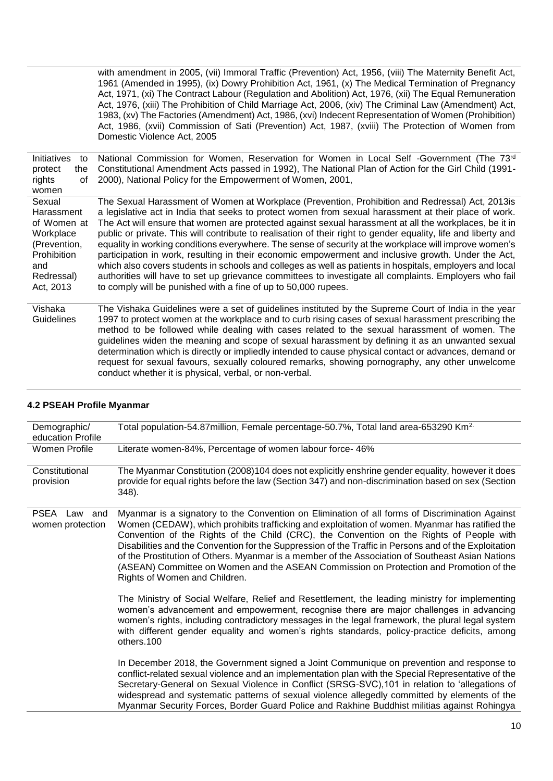with amendment in 2005, (vii) Immoral Traffic (Prevention) Act, 1956, (viii) The Maternity Benefit Act, 1961 (Amended in 1995), (ix) Dowry Prohibition Act, 1961, (x) The Medical Termination of Pregnancy Act, 1971, (xi) The Contract Labour (Regulation and Abolition) Act, 1976, (xii) The Equal Remuneration Act, 1976, (xiii) The Prohibition of Child Marriage Act, 2006, (xiv) The Criminal Law (Amendment) Act, 1983, (xv) The Factories (Amendment) Act, 1986, (xvi) Indecent Representation of Women (Prohibition) Act, 1986, (xvii) Commission of Sati (Prevention) Act, 1987, (xviii) The Protection of Women from Domestic Violence Act, 2005

| Initiatives<br>to<br>protect<br>the<br>rights<br>οf                                                               | National Commission for Women, Reservation for Women in Local Self -Government (The 73rd<br>Constitutional Amendment Acts passed in 1992), The National Plan of Action for the Girl Child (1991-<br>2000), National Policy for the Empowerment of Women, 2001,                                                                                                                                                                                                                                                                                                                                                                                                                                                                                                                                                                                                                                                                                |
|-------------------------------------------------------------------------------------------------------------------|-----------------------------------------------------------------------------------------------------------------------------------------------------------------------------------------------------------------------------------------------------------------------------------------------------------------------------------------------------------------------------------------------------------------------------------------------------------------------------------------------------------------------------------------------------------------------------------------------------------------------------------------------------------------------------------------------------------------------------------------------------------------------------------------------------------------------------------------------------------------------------------------------------------------------------------------------|
| women                                                                                                             |                                                                                                                                                                                                                                                                                                                                                                                                                                                                                                                                                                                                                                                                                                                                                                                                                                                                                                                                               |
| Sexual<br>Harassment<br>of Women at<br>Workplace<br>(Prevention,<br>Prohibition<br>and<br>Redressal)<br>Act, 2013 | The Sexual Harassment of Women at Workplace (Prevention, Prohibition and Redressal) Act, 2013is<br>a legislative act in India that seeks to protect women from sexual harassment at their place of work.<br>The Act will ensure that women are protected against sexual harassment at all the workplaces, be it in<br>public or private. This will contribute to realisation of their right to gender equality, life and liberty and<br>equality in working conditions everywhere. The sense of security at the workplace will improve women's<br>participation in work, resulting in their economic empowerment and inclusive growth. Under the Act,<br>which also covers students in schools and colleges as well as patients in hospitals, employers and local<br>authorities will have to set up grievance committees to investigate all complaints. Employers who fail<br>to comply will be punished with a fine of up to 50,000 rupees. |
| Vishaka<br>Guidelines                                                                                             | The Vishaka Guidelines were a set of guidelines instituted by the Supreme Court of India in the year<br>1997 to protect women at the workplace and to curb rising cases of sexual harassment prescribing the<br>method to be followed while dealing with cases related to the sexual harassment of women. The                                                                                                                                                                                                                                                                                                                                                                                                                                                                                                                                                                                                                                 |

method to be followed while dealing with cases related to the sexual harassment of women. The guidelines widen the meaning and scope of sexual harassment by defining it as an unwanted sexual determination which is directly or impliedly intended to cause physical contact or advances, demand or request for sexual favours, sexually coloured remarks, showing pornography, any other unwelcome conduct whether it is physical, verbal, or non-verbal.

| Demographic/<br>education Profile          | Total population-54.87 million, Female percentage-50.7%, Total land area-653290 Km <sup>2.</sup>                                                                                                                                                                                                                                                                                                                                                                                                                                                                                                                                     |
|--------------------------------------------|--------------------------------------------------------------------------------------------------------------------------------------------------------------------------------------------------------------------------------------------------------------------------------------------------------------------------------------------------------------------------------------------------------------------------------------------------------------------------------------------------------------------------------------------------------------------------------------------------------------------------------------|
| Women Profile                              | Literate women-84%, Percentage of women labour force-46%                                                                                                                                                                                                                                                                                                                                                                                                                                                                                                                                                                             |
| Constitutional<br>provision                | The Myanmar Constitution (2008)104 does not explicitly enshrine gender equality, however it does<br>provide for equal rights before the law (Section 347) and non-discrimination based on sex (Section<br>348).                                                                                                                                                                                                                                                                                                                                                                                                                      |
| <b>PSEA</b><br>Law and<br>women protection | Myanmar is a signatory to the Convention on Elimination of all forms of Discrimination Against<br>Women (CEDAW), which prohibits trafficking and exploitation of women. Myanmar has ratified the<br>Convention of the Rights of the Child (CRC), the Convention on the Rights of People with<br>Disabilities and the Convention for the Suppression of the Traffic in Persons and of the Exploitation<br>of the Prostitution of Others. Myanmar is a member of the Association of Southeast Asian Nations<br>(ASEAN) Committee on Women and the ASEAN Commission on Protection and Promotion of the<br>Rights of Women and Children. |
|                                            | The Ministry of Social Welfare, Relief and Resettlement, the leading ministry for implementing<br>women's advancement and empowerment, recognise there are major challenges in advancing<br>women's rights, including contradictory messages in the legal framework, the plural legal system<br>with different gender equality and women's rights standards, policy-practice deficits, among<br>others.100                                                                                                                                                                                                                           |
|                                            | In December 2018, the Government signed a Joint Communique on prevention and response to<br>conflict-related sexual violence and an implementation plan with the Special Representative of the<br>Secretary-General on Sexual Violence in Conflict (SRSG-SVC),101 in relation to 'allegations of<br>widespread and systematic patterns of sexual violence allegedly committed by elements of the<br>Myanmar Security Forces, Border Guard Police and Rakhine Buddhist militias against Rohingya                                                                                                                                      |

## **4.2 PSEAH Profile Myanmar**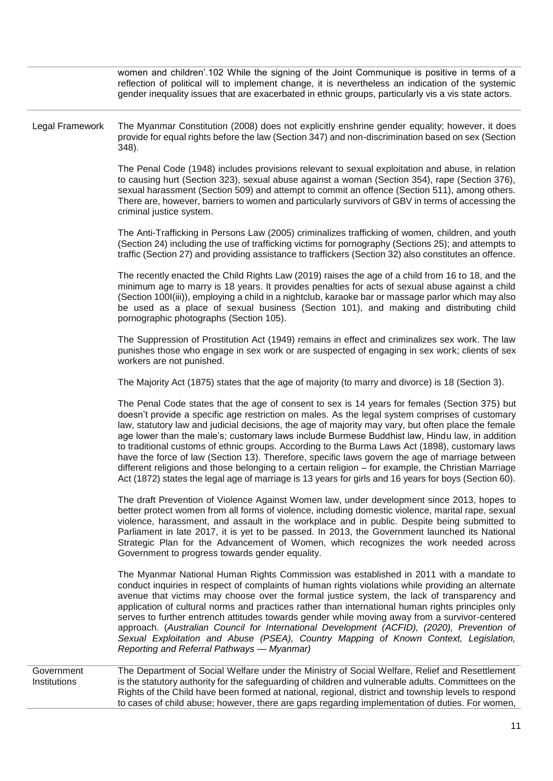|                            | women and children'.102 While the signing of the Joint Communique is positive in terms of a<br>reflection of political will to implement change, it is nevertheless an indication of the systemic<br>gender inequality issues that are exacerbated in ethnic groups, particularly vis a vis state actors.                                                                                                                                                                                                                                                                                                                                                                                                                                                                                                                        |
|----------------------------|----------------------------------------------------------------------------------------------------------------------------------------------------------------------------------------------------------------------------------------------------------------------------------------------------------------------------------------------------------------------------------------------------------------------------------------------------------------------------------------------------------------------------------------------------------------------------------------------------------------------------------------------------------------------------------------------------------------------------------------------------------------------------------------------------------------------------------|
| Legal Framework            | The Myanmar Constitution (2008) does not explicitly enshrine gender equality; however, it does<br>provide for equal rights before the law (Section 347) and non-discrimination based on sex (Section<br>348).                                                                                                                                                                                                                                                                                                                                                                                                                                                                                                                                                                                                                    |
|                            | The Penal Code (1948) includes provisions relevant to sexual exploitation and abuse, in relation<br>to causing hurt (Section 323), sexual abuse against a woman (Section 354), rape (Section 376),<br>sexual harassment (Section 509) and attempt to commit an offence (Section 511), among others.<br>There are, however, barriers to women and particularly survivors of GBV in terms of accessing the<br>criminal justice system.                                                                                                                                                                                                                                                                                                                                                                                             |
|                            | The Anti-Trafficking in Persons Law (2005) criminalizes trafficking of women, children, and youth<br>(Section 24) including the use of trafficking victims for pornography (Sections 25); and attempts to<br>traffic (Section 27) and providing assistance to traffickers (Section 32) also constitutes an offence.                                                                                                                                                                                                                                                                                                                                                                                                                                                                                                              |
|                            | The recently enacted the Child Rights Law (2019) raises the age of a child from 16 to 18, and the<br>minimum age to marry is 18 years. It provides penalties for acts of sexual abuse against a child<br>(Section 100I(iii)), employing a child in a nightclub, karaoke bar or massage parlor which may also<br>be used as a place of sexual business (Section 101), and making and distributing child<br>pornographic photographs (Section 105).                                                                                                                                                                                                                                                                                                                                                                                |
|                            | The Suppression of Prostitution Act (1949) remains in effect and criminalizes sex work. The law<br>punishes those who engage in sex work or are suspected of engaging in sex work; clients of sex<br>workers are not punished.                                                                                                                                                                                                                                                                                                                                                                                                                                                                                                                                                                                                   |
|                            | The Majority Act (1875) states that the age of majority (to marry and divorce) is 18 (Section 3).                                                                                                                                                                                                                                                                                                                                                                                                                                                                                                                                                                                                                                                                                                                                |
|                            | The Penal Code states that the age of consent to sex is 14 years for females (Section 375) but<br>doesn't provide a specific age restriction on males. As the legal system comprises of customary<br>law, statutory law and judicial decisions, the age of majority may vary, but often place the female<br>age lower than the male's; customary laws include Burmese Buddhist law, Hindu law, in addition<br>to traditional customs of ethnic groups. According to the Burma Laws Act (1898), customary laws<br>have the force of law (Section 13). Therefore, specific laws govern the age of marriage between<br>different religions and those belonging to a certain religion - for example, the Christian Marriage<br>Act (1872) states the legal age of marriage is 13 years for girls and 16 years for boys (Section 60). |
|                            | The draft Prevention of Violence Against Women law, under development since 2013, hopes to<br>better protect women from all forms of violence, including domestic violence, marital rape, sexual<br>violence, harassment, and assault in the workplace and in public. Despite being submitted to<br>Parliament in late 2017, it is yet to be passed. In 2013, the Government launched its National<br>Strategic Plan for the Advancement of Women, which recognizes the work needed across<br>Government to progress towards gender equality.                                                                                                                                                                                                                                                                                    |
|                            | The Myanmar National Human Rights Commission was established in 2011 with a mandate to<br>conduct inquiries in respect of complaints of human rights violations while providing an alternate<br>avenue that victims may choose over the formal justice system, the lack of transparency and<br>application of cultural norms and practices rather than international human rights principles only<br>serves to further entrench attitudes towards gender while moving away from a survivor-centered<br>approach. (Australian Council for International Development (ACFID), (2020), Prevention of<br>Sexual Exploitation and Abuse (PSEA), Country Mapping of Known Context, Legislation,<br>Reporting and Referral Pathways - Myanmar)                                                                                          |
| Government<br>Institutions | The Department of Social Welfare under the Ministry of Social Welfare, Relief and Resettlement<br>is the statutory authority for the safeguarding of children and vulnerable adults. Committees on the<br>Rights of the Child have been formed at national, regional, district and township levels to respond<br>to cases of child abuse; however, there are gaps regarding implementation of duties. For women,                                                                                                                                                                                                                                                                                                                                                                                                                 |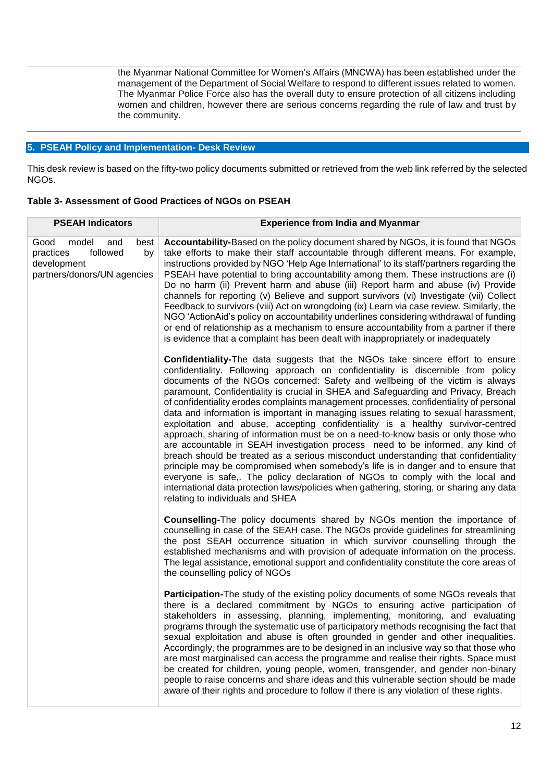the Myanmar National Committee for Women's Affairs (MNCWA) has been established under the management of the Department of Social Welfare to respond to different issues related to women. The Myanmar Police Force also has the overall duty to ensure protection of all citizens including women and children, however there are serious concerns regarding the rule of law and trust by the community.

## **5. PSEAH Policy and Implementation- Desk Review**

This desk review is based on the fifty-two policy documents submitted or retrieved from the web link referred by the selected NGOs.

| <b>PSEAH Indicators</b>                                                                                   | <b>Experience from India and Myanmar</b>                                                                                                                                                                                                                                                                                                                                                                                                                                                                                                                                                                                                                                                                                                                                                                                                                                                                                                                                                                                                                                                                                                                                                   |
|-----------------------------------------------------------------------------------------------------------|--------------------------------------------------------------------------------------------------------------------------------------------------------------------------------------------------------------------------------------------------------------------------------------------------------------------------------------------------------------------------------------------------------------------------------------------------------------------------------------------------------------------------------------------------------------------------------------------------------------------------------------------------------------------------------------------------------------------------------------------------------------------------------------------------------------------------------------------------------------------------------------------------------------------------------------------------------------------------------------------------------------------------------------------------------------------------------------------------------------------------------------------------------------------------------------------|
| model<br>Good<br>and<br>best<br>practices<br>followed<br>by<br>development<br>partners/donors/UN agencies | Accountability-Based on the policy document shared by NGOs, it is found that NGOs<br>take efforts to make their staff accountable through different means. For example,<br>instructions provided by NGO 'Help Age International' to its staff/partners regarding the<br>PSEAH have potential to bring accountability among them. These instructions are (i)<br>Do no harm (ii) Prevent harm and abuse (iii) Report harm and abuse (iv) Provide<br>channels for reporting (v) Believe and support survivors (vi) Investigate (vii) Collect<br>Feedback to survivors (viii) Act on wrongdoing (ix) Learn via case review. Similarly, the<br>NGO 'ActionAid's policy on accountability underlines considering withdrawal of funding<br>or end of relationship as a mechanism to ensure accountability from a partner if there<br>is evidence that a complaint has been dealt with inappropriately or inadequately                                                                                                                                                                                                                                                                             |
|                                                                                                           | <b>Confidentiality-The data suggests that the NGOs take sincere effort to ensure</b><br>confidentiality. Following approach on confidentiality is discernible from policy<br>documents of the NGOs concerned: Safety and wellbeing of the victim is always<br>paramount, Confidentiality is crucial in SHEA and Safeguarding and Privacy, Breach<br>of confidentiality erodes complaints management processes, confidentiality of personal<br>data and information is important in managing issues relating to sexual harassment,<br>exploitation and abuse, accepting confidentiality is a healthy survivor-centred<br>approach, sharing of information must be on a need-to-know basis or only those who<br>are accountable in SEAH investigation process need to be informed, any kind of<br>breach should be treated as a serious misconduct understanding that confidentiality<br>principle may be compromised when somebody's life is in danger and to ensure that<br>everyone is safe,. The policy declaration of NGOs to comply with the local and<br>international data protection laws/policies when gathering, storing, or sharing any data<br>relating to individuals and SHEA |
|                                                                                                           | <b>Counselling-The policy documents shared by NGOs mention the importance of</b><br>counselling in case of the SEAH case. The NGOs provide guidelines for streamlining<br>the post SEAH occurrence situation in which survivor counselling through the<br>established mechanisms and with provision of adequate information on the process.<br>The legal assistance, emotional support and confidentiality constitute the core areas of<br>the counselling policy of NGOs                                                                                                                                                                                                                                                                                                                                                                                                                                                                                                                                                                                                                                                                                                                  |
|                                                                                                           | Participation-The study of the existing policy documents of some NGOs reveals that<br>there is a declared commitment by NGOs to ensuring active participation of<br>stakeholders in assessing, planning, implementing, monitoring, and evaluating<br>programs through the systematic use of participatory methods recognising the fact that<br>sexual exploitation and abuse is often grounded in gender and other inequalities.<br>Accordingly, the programmes are to be designed in an inclusive way so that those who<br>are most marginalised can access the programme and realise their rights. Space must<br>be created for children, young people, women, transgender, and gender non-binary<br>people to raise concerns and share ideas and this vulnerable section should be made<br>aware of their rights and procedure to follow if there is any violation of these rights.                                                                                                                                                                                                                                                                                                     |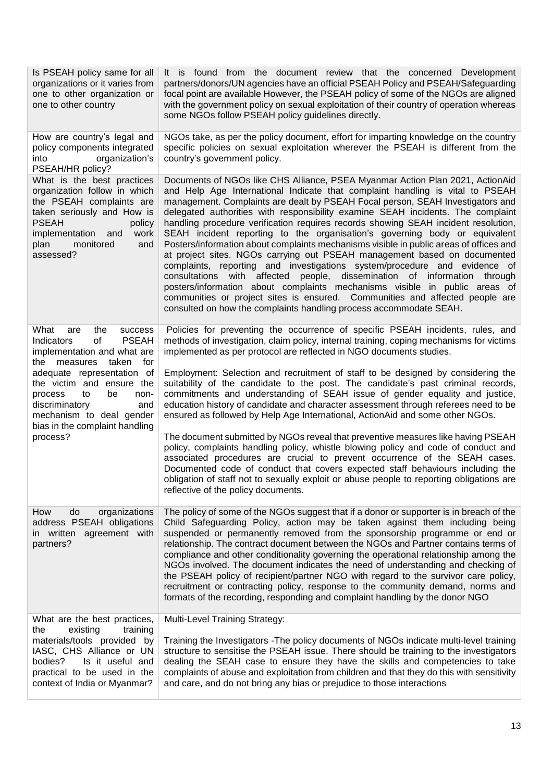| Is PSEAH policy same for all<br>organizations or it varies from<br>one to other organization or<br>one to other country                                                                                                  | It is found from the document review that the concerned Development<br>partners/donors/UN agencies have an official PSEAH Policy and PSEAH/Safeguarding<br>focal point are available However, the PSEAH policy of some of the NGOs are aligned<br>with the government policy on sexual exploitation of their country of operation whereas<br>some NGOs follow PSEAH policy guidelines directly.                                                                                                                                                                                                                                                                                                                                                                                                                                                                                                                                                                                                                                                                                  |
|--------------------------------------------------------------------------------------------------------------------------------------------------------------------------------------------------------------------------|----------------------------------------------------------------------------------------------------------------------------------------------------------------------------------------------------------------------------------------------------------------------------------------------------------------------------------------------------------------------------------------------------------------------------------------------------------------------------------------------------------------------------------------------------------------------------------------------------------------------------------------------------------------------------------------------------------------------------------------------------------------------------------------------------------------------------------------------------------------------------------------------------------------------------------------------------------------------------------------------------------------------------------------------------------------------------------|
| How are country's legal and<br>policy components integrated<br>organization's<br>into<br>PSEAH/HR policy?                                                                                                                | NGOs take, as per the policy document, effort for imparting knowledge on the country<br>specific policies on sexual exploitation wherever the PSEAH is different from the<br>country's government policy.                                                                                                                                                                                                                                                                                                                                                                                                                                                                                                                                                                                                                                                                                                                                                                                                                                                                        |
| What is the best practices<br>organization follow in which<br>the PSEAH complaints are<br>taken seriously and How is<br><b>PSEAH</b><br>policy<br>implementation<br>work<br>and<br>plan<br>monitored<br>and<br>assessed? | Documents of NGOs like CHS Alliance, PSEA Myanmar Action Plan 2021, ActionAid<br>and Help Age International Indicate that complaint handling is vital to PSEAH<br>management. Complaints are dealt by PSEAH Focal person, SEAH Investigators and<br>delegated authorities with responsibility examine SEAH incidents. The complaint<br>handling procedure verification requires records showing SEAH incident resolution,<br>SEAH incident reporting to the organisation's governing body or equivalent<br>Posters/information about complaints mechanisms visible in public areas of offices and<br>at project sites. NGOs carrying out PSEAH management based on documented<br>complaints, reporting and investigations system/procedure and evidence of<br>affected people, dissemination of information through<br>consultations<br>with<br>posters/information about complaints mechanisms visible in public areas of<br>communities or project sites is ensured. Communities and affected people are<br>consulted on how the complaints handling process accommodate SEAH. |
| What<br>are<br>the<br>success<br>of<br><b>PSEAH</b><br>Indicators<br>implementation and what are<br>the measures taken<br>for                                                                                            | Policies for preventing the occurrence of specific PSEAH incidents, rules, and<br>methods of investigation, claim policy, internal training, coping mechanisms for victims<br>implemented as per protocol are reflected in NGO documents studies.                                                                                                                                                                                                                                                                                                                                                                                                                                                                                                                                                                                                                                                                                                                                                                                                                                |
| adequate representation of<br>the victim and ensure the<br>to<br>be<br>non-<br>process<br>discriminatory<br>and<br>mechanism to deal gender<br>bias in the complaint handling                                            | Employment: Selection and recruitment of staff to be designed by considering the<br>suitability of the candidate to the post. The candidate's past criminal records,<br>commitments and understanding of SEAH issue of gender equality and justice,<br>education history of candidate and character assessment through referees need to be<br>ensured as followed by Help Age International, ActionAid and some other NGOs.                                                                                                                                                                                                                                                                                                                                                                                                                                                                                                                                                                                                                                                      |
| process?                                                                                                                                                                                                                 | The document submitted by NGOs reveal that preventive measures like having PSEAH<br>policy, complaints handling policy, whistle blowing policy and code of conduct and<br>associated procedures are crucial to prevent occurrence of the SEAH cases.<br>Documented code of conduct that covers expected staff behaviours including the<br>obligation of staff not to sexually exploit or abuse people to reporting obligations are<br>reflective of the policy documents.                                                                                                                                                                                                                                                                                                                                                                                                                                                                                                                                                                                                        |
| How<br>organizations<br>do<br>address PSEAH obligations<br>in written agreement with<br>partners?                                                                                                                        | The policy of some of the NGOs suggest that if a donor or supporter is in breach of the<br>Child Safeguarding Policy, action may be taken against them including being<br>suspended or permanently removed from the sponsorship programme or end or<br>relationship. The contract document between the NGOs and Partner contains terms of<br>compliance and other conditionality governing the operational relationship among the<br>NGOs involved. The document indicates the need of understanding and checking of<br>the PSEAH policy of recipient/partner NGO with regard to the survivor care policy,<br>recruitment or contracting policy, response to the community demand, norms and<br>formats of the recording, responding and complaint handling by the donor NGO                                                                                                                                                                                                                                                                                                     |
| What are the best practices,<br>the<br>existing<br>training                                                                                                                                                              | <b>Multi-Level Training Strategy:</b>                                                                                                                                                                                                                                                                                                                                                                                                                                                                                                                                                                                                                                                                                                                                                                                                                                                                                                                                                                                                                                            |
| materials/tools provided by<br>IASC, CHS Alliance or UN<br>bodies?<br>Is it useful and<br>practical to be used in the<br>context of India or Myanmar?                                                                    | Training the Investigators - The policy documents of NGOs indicate multi-level training<br>structure to sensitise the PSEAH issue. There should be training to the investigators<br>dealing the SEAH case to ensure they have the skills and competencies to take<br>complaints of abuse and exploitation from children and that they do this with sensitivity<br>and care, and do not bring any bias or prejudice to those interactions                                                                                                                                                                                                                                                                                                                                                                                                                                                                                                                                                                                                                                         |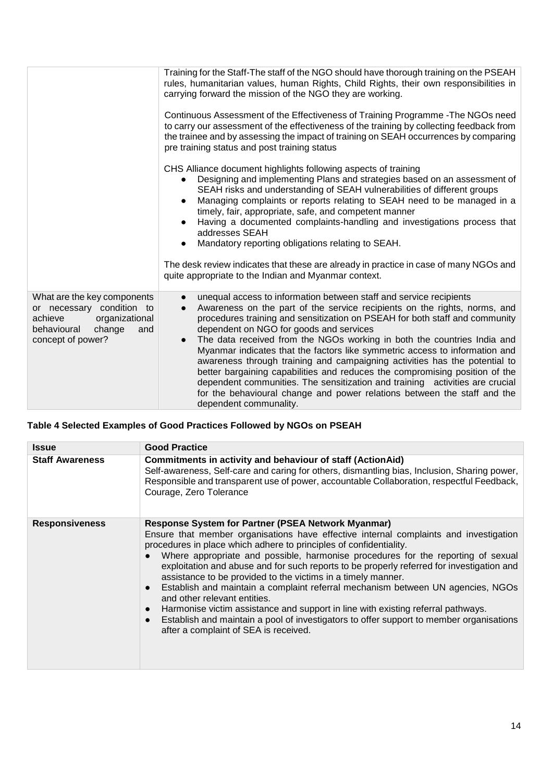|                                                                                                                                            | carrying forward the mission of the NGO they are working.<br>Continuous Assessment of the Effectiveness of Training Programme - The NGOs need<br>to carry our assessment of the effectiveness of the training by collecting feedback from<br>the trainee and by assessing the impact of training on SEAH occurrences by comparing<br>pre training status and post training status<br>CHS Alliance document highlights following aspects of training<br>Designing and implementing Plans and strategies based on an assessment of<br>SEAH risks and understanding of SEAH vulnerabilities of different groups<br>Managing complaints or reports relating to SEAH need to be managed in a<br>$\bullet$<br>timely, fair, appropriate, safe, and competent manner<br>Having a documented complaints-handling and investigations process that<br>addresses SEAH<br>Mandatory reporting obligations relating to SEAH.<br>The desk review indicates that these are already in practice in case of many NGOs and<br>quite appropriate to the Indian and Myanmar context. |
|--------------------------------------------------------------------------------------------------------------------------------------------|------------------------------------------------------------------------------------------------------------------------------------------------------------------------------------------------------------------------------------------------------------------------------------------------------------------------------------------------------------------------------------------------------------------------------------------------------------------------------------------------------------------------------------------------------------------------------------------------------------------------------------------------------------------------------------------------------------------------------------------------------------------------------------------------------------------------------------------------------------------------------------------------------------------------------------------------------------------------------------------------------------------------------------------------------------------|
| What are the key components<br>or necessary condition to<br>achieve<br>organizational<br>behavioural<br>change<br>and<br>concept of power? | unequal access to information between staff and service recipients<br>Awareness on the part of the service recipients on the rights, norms, and<br>procedures training and sensitization on PSEAH for both staff and community<br>dependent on NGO for goods and services<br>The data received from the NGOs working in both the countries India and<br>Myanmar indicates that the factors like symmetric access to information and<br>awareness through training and campaigning activities has the potential to<br>better bargaining capabilities and reduces the compromising position of the<br>dependent communities. The sensitization and training activities are crucial<br>for the behavioural change and power relations between the staff and the<br>dependent communality.                                                                                                                                                                                                                                                                           |

# **Table 4 Selected Examples of Good Practices Followed by NGOs on PSEAH**

| <b>Issue</b>           | <b>Good Practice</b>                                                                                                                                                                                                                                                                                                                                                                                                                                                                                                                                                                                                                                                                                                                                                                                                                                 |
|------------------------|------------------------------------------------------------------------------------------------------------------------------------------------------------------------------------------------------------------------------------------------------------------------------------------------------------------------------------------------------------------------------------------------------------------------------------------------------------------------------------------------------------------------------------------------------------------------------------------------------------------------------------------------------------------------------------------------------------------------------------------------------------------------------------------------------------------------------------------------------|
|                        |                                                                                                                                                                                                                                                                                                                                                                                                                                                                                                                                                                                                                                                                                                                                                                                                                                                      |
| <b>Staff Awareness</b> | Commitments in activity and behaviour of staff (ActionAid)<br>Self-awareness, Self-care and caring for others, dismantling bias, Inclusion, Sharing power,<br>Responsible and transparent use of power, accountable Collaboration, respectful Feedback,<br>Courage, Zero Tolerance                                                                                                                                                                                                                                                                                                                                                                                                                                                                                                                                                                   |
| <b>Responsiveness</b>  | Response System for Partner (PSEA Network Myanmar)<br>Ensure that member organisations have effective internal complaints and investigation<br>procedures in place which adhere to principles of confidentiality.<br>Where appropriate and possible, harmonise procedures for the reporting of sexual<br>exploitation and abuse and for such reports to be properly referred for investigation and<br>assistance to be provided to the victims in a timely manner.<br>Establish and maintain a complaint referral mechanism between UN agencies, NGOs<br>$\bullet$<br>and other relevant entities.<br>Harmonise victim assistance and support in line with existing referral pathways.<br>$\bullet$<br>Establish and maintain a pool of investigators to offer support to member organisations<br>$\bullet$<br>after a complaint of SEA is received. |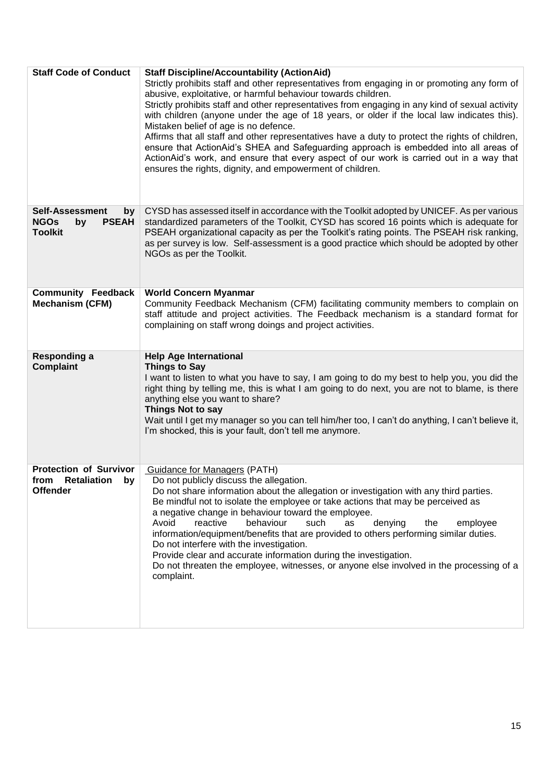| <b>Staff Code of Conduct</b>                                                        | <b>Staff Discipline/Accountability (ActionAid)</b><br>Strictly prohibits staff and other representatives from engaging in or promoting any form of<br>abusive, exploitative, or harmful behaviour towards children.<br>Strictly prohibits staff and other representatives from engaging in any kind of sexual activity<br>with children (anyone under the age of 18 years, or older if the local law indicates this).<br>Mistaken belief of age is no defence.<br>Affirms that all staff and other representatives have a duty to protect the rights of children,<br>ensure that ActionAid's SHEA and Safeguarding approach is embedded into all areas of<br>ActionAid's work, and ensure that every aspect of our work is carried out in a way that<br>ensures the rights, dignity, and empowerment of children. |
|-------------------------------------------------------------------------------------|-------------------------------------------------------------------------------------------------------------------------------------------------------------------------------------------------------------------------------------------------------------------------------------------------------------------------------------------------------------------------------------------------------------------------------------------------------------------------------------------------------------------------------------------------------------------------------------------------------------------------------------------------------------------------------------------------------------------------------------------------------------------------------------------------------------------|
| <b>Self-Assessment</b><br>by<br><b>NGOs</b><br><b>PSEAH</b><br>by<br><b>Toolkit</b> | CYSD has assessed itself in accordance with the Toolkit adopted by UNICEF. As per various<br>standardized parameters of the Toolkit, CYSD has scored 16 points which is adequate for<br>PSEAH organizational capacity as per the Toolkit's rating points. The PSEAH risk ranking,<br>as per survey is low. Self-assessment is a good practice which should be adopted by other<br>NGOs as per the Toolkit.                                                                                                                                                                                                                                                                                                                                                                                                        |
| <b>Community Feedback</b><br><b>Mechanism (CFM)</b>                                 | <b>World Concern Myanmar</b><br>Community Feedback Mechanism (CFM) facilitating community members to complain on<br>staff attitude and project activities. The Feedback mechanism is a standard format for<br>complaining on staff wrong doings and project activities.                                                                                                                                                                                                                                                                                                                                                                                                                                                                                                                                           |
| Responding a<br><b>Complaint</b>                                                    | <b>Help Age International</b><br><b>Things to Say</b><br>I want to listen to what you have to say, I am going to do my best to help you, you did the<br>right thing by telling me, this is what I am going to do next, you are not to blame, is there<br>anything else you want to share?<br>Things Not to say<br>Wait until I get my manager so you can tell him/her too, I can't do anything, I can't believe it,<br>I'm shocked, this is your fault, don't tell me anymore.                                                                                                                                                                                                                                                                                                                                    |
| <b>Protection of Survivor</b><br>from Retaliation by<br><b>Offender</b>             | Guidance for Managers (PATH)<br>Do not publicly discuss the allegation.<br>Do not share information about the allegation or investigation with any third parties.<br>Be mindful not to isolate the employee or take actions that may be perceived as<br>a negative change in behaviour toward the employee.<br>Avoid<br>reactive<br>behaviour<br>such<br>denying<br>as<br>the<br>employee<br>information/equipment/benefits that are provided to others performing similar duties.<br>Do not interfere with the investigation.<br>Provide clear and accurate information during the investigation.<br>Do not threaten the employee, witnesses, or anyone else involved in the processing of a<br>complaint.                                                                                                       |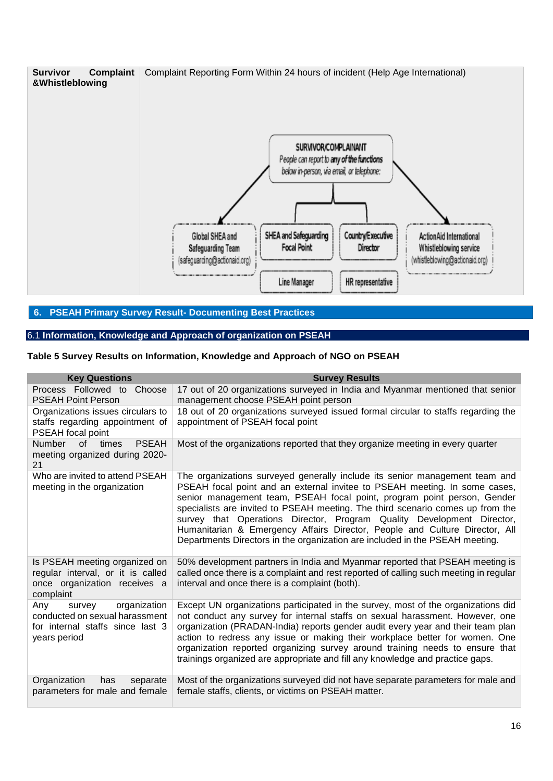

## **6. PSEAH Primary Survey Result- Documenting Best Practices**

## 6.1 **Information, Knowledge and Approach of organization on PSEAH**

## **Table 5 Survey Results on Information, Knowledge and Approach of NGO on PSEAH**

| <b>Key Questions</b>                                                                                                | <b>Survey Results</b>                                                                                                                                                                                                                                                                                                                                                                                                                                                                                                                                           |
|---------------------------------------------------------------------------------------------------------------------|-----------------------------------------------------------------------------------------------------------------------------------------------------------------------------------------------------------------------------------------------------------------------------------------------------------------------------------------------------------------------------------------------------------------------------------------------------------------------------------------------------------------------------------------------------------------|
| Process Followed to Choose<br><b>PSEAH Point Person</b>                                                             | 17 out of 20 organizations surveyed in India and Myanmar mentioned that senior<br>management choose PSEAH point person                                                                                                                                                                                                                                                                                                                                                                                                                                          |
| Organizations issues circulars to<br>staffs regarding appointment of<br>PSEAH focal point                           | 18 out of 20 organizations surveyed issued formal circular to staffs regarding the<br>appointment of PSEAH focal point                                                                                                                                                                                                                                                                                                                                                                                                                                          |
| <b>Number</b><br><b>PSEAH</b><br>times<br>of o<br>meeting organized during 2020-<br>21                              | Most of the organizations reported that they organize meeting in every quarter                                                                                                                                                                                                                                                                                                                                                                                                                                                                                  |
| Who are invited to attend PSEAH<br>meeting in the organization                                                      | The organizations surveyed generally include its senior management team and<br>PSEAH focal point and an external invitee to PSEAH meeting. In some cases,<br>senior management team, PSEAH focal point, program point person, Gender<br>specialists are invited to PSEAH meeting. The third scenario comes up from the<br>survey that Operations Director, Program Quality Development Director,<br>Humanitarian & Emergency Affairs Director, People and Culture Director, All<br>Departments Directors in the organization are included in the PSEAH meeting. |
| Is PSEAH meeting organized on<br>regular interval, or it is called<br>once organization receives a<br>complaint     | 50% development partners in India and Myanmar reported that PSEAH meeting is<br>called once there is a complaint and rest reported of calling such meeting in regular<br>interval and once there is a complaint (both).                                                                                                                                                                                                                                                                                                                                         |
| organization<br>Any<br>survey<br>conducted on sexual harassment<br>for internal staffs since last 3<br>years period | Except UN organizations participated in the survey, most of the organizations did<br>not conduct any survey for internal staffs on sexual harassment. However, one<br>organization (PRADAN-India) reports gender audit every year and their team plan<br>action to redress any issue or making their workplace better for women. One<br>organization reported organizing survey around training needs to ensure that<br>trainings organized are appropriate and fill any knowledge and practice gaps.                                                           |
| Organization<br>has<br>separate<br>parameters for male and female                                                   | Most of the organizations surveyed did not have separate parameters for male and<br>female staffs, clients, or victims on PSEAH matter.                                                                                                                                                                                                                                                                                                                                                                                                                         |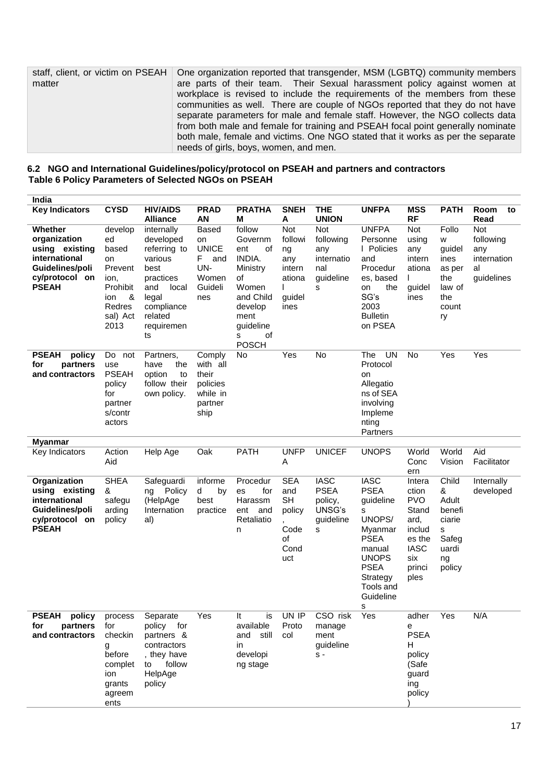| staff, client, or victim on PSEAH | One organization reported that transgender, MSM (LGBTQ) community members                                                                              |
|-----------------------------------|--------------------------------------------------------------------------------------------------------------------------------------------------------|
| matter                            | are parts of their team. Their Sexual harassment policy against women at<br>workplace is revised to include the requirements of the members from these |
|                                   | communities as well. There are couple of NGOs reported that they do not have                                                                           |
|                                   | separate parameters for male and female staff. However, the NGO collects data                                                                          |
|                                   | from both male and female for training and PSEAH focal point generally nominate                                                                        |
|                                   | both male, female and victims. One NGO stated that it works as per the separate                                                                        |
|                                   | needs of girls, boys, women, and men.                                                                                                                  |

**6.2 NGO and International Guidelines/policy/protocol on PSEAH and partners and contractors Table 6 Policy Parameters of Selected NGOs on PSEAH**

| India                                                                                                           |                                                                                                       |                                                                                                                                               |                                                                                   |                                                                                                                                             |                                                                                                   |                                                                   |                                                                                                                                                                      |                                                                                                            |                                                                                |                                                            |
|-----------------------------------------------------------------------------------------------------------------|-------------------------------------------------------------------------------------------------------|-----------------------------------------------------------------------------------------------------------------------------------------------|-----------------------------------------------------------------------------------|---------------------------------------------------------------------------------------------------------------------------------------------|---------------------------------------------------------------------------------------------------|-------------------------------------------------------------------|----------------------------------------------------------------------------------------------------------------------------------------------------------------------|------------------------------------------------------------------------------------------------------------|--------------------------------------------------------------------------------|------------------------------------------------------------|
| <b>Key Indicators</b>                                                                                           | <b>CYSD</b>                                                                                           | <b>HIV/AIDS</b><br><b>Alliance</b>                                                                                                            | <b>PRAD</b><br><b>AN</b>                                                          | <b>PRATHA</b><br>м                                                                                                                          | <b>SNEH</b><br>Α                                                                                  | <b>THE</b><br><b>UNION</b>                                        | <b>UNFPA</b>                                                                                                                                                         | <b>MSS</b><br><b>RF</b>                                                                                    | <b>PATH</b>                                                                    | Room<br>to<br>Read                                         |
| Whether<br>organization<br>using existing<br>international<br>Guidelines/poli<br>cy/protocol on<br><b>PSEAH</b> | develop<br>ed<br>based<br>on<br>Prevent<br>ion,<br>Prohibit<br>&<br>ion<br>Redres<br>sal) Act<br>2013 | internally<br>developed<br>referring to<br>various<br>best<br>practices<br>and<br>local<br>legal<br>compliance<br>related<br>requiremen<br>ts | <b>Based</b><br>on<br><b>UNICE</b><br>F.<br>and<br>UN-<br>Women<br>Guideli<br>nes | follow<br>Governm<br>ent<br>of<br>INDIA.<br>Ministry<br>οf<br>Women<br>and Child<br>develop<br>ment<br>guideline<br>of<br>s<br><b>POSCH</b> | Not<br>followi<br>ng<br>any<br>intern<br>ationa<br>L<br>guidel<br>ines                            | Not<br>following<br>any<br>internatio<br>nal<br>guideline<br>S    | <b>UNFPA</b><br>Personne<br>I Policies<br>and<br>Procedur<br>es, based<br>the<br>on<br>SG's<br>2003<br><b>Bulletin</b><br>on PSEA                                    | Not<br>using<br>any<br>intern<br>ationa<br>L<br>guidel<br>ines                                             | Follo<br>W<br>quidel<br>ines<br>as per<br>the<br>law of<br>the<br>count<br>ry  | Not<br>following<br>any<br>internation<br>al<br>guidelines |
| <b>PSEAH</b><br>policy<br>partners<br>for<br>and contractors                                                    | Do<br>not<br>use<br><b>PSEAH</b><br>policy<br>for<br>partner<br>s/contr<br>actors                     | Partners,<br>the<br>have<br>option<br>to<br>follow their<br>own policy.                                                                       | Comply<br>with all<br>their<br>policies<br>while in<br>partner<br>ship            | No                                                                                                                                          | Yes                                                                                               | No                                                                | The<br><b>UN</b><br>Protocol<br>on<br>Allegatio<br>ns of SEA<br>involving<br>Impleme<br>nting<br>Partners                                                            | No                                                                                                         | Yes                                                                            | Yes                                                        |
| <b>Myanmar</b>                                                                                                  |                                                                                                       |                                                                                                                                               |                                                                                   |                                                                                                                                             |                                                                                                   |                                                                   |                                                                                                                                                                      |                                                                                                            |                                                                                |                                                            |
| Key Indicators                                                                                                  | Action<br>Aid                                                                                         | Help Age                                                                                                                                      | Oak                                                                               | <b>PATH</b>                                                                                                                                 | <b>UNFP</b><br>Α                                                                                  | <b>UNICEF</b>                                                     | <b>UNOPS</b>                                                                                                                                                         | World<br>Conc<br>ern                                                                                       | World<br>Vision                                                                | Aid<br>Facilitator                                         |
| Organization<br>using existing<br>international<br>Guidelines/poli<br>cy/protocol on<br><b>PSEAH</b>            | <b>SHEA</b><br>&<br>safegu<br>arding<br>policy                                                        | Safeguardi<br>ng Policy<br>(HelpAge<br>Internation<br>al)                                                                                     | informe<br>d<br>by<br>best<br>practice                                            | Procedur<br>for<br>es<br>Harassm<br>ent<br>and<br>Retaliatio<br>n                                                                           | <b>SEA</b><br>and<br><b>SH</b><br>policy<br>$\overline{\phantom{a}}$<br>Code<br>of<br>Cond<br>uct | <b>IASC</b><br><b>PSEA</b><br>policy,<br>UNSG's<br>guideline<br>s | <b>IASC</b><br><b>PSEA</b><br>guideline<br>s<br>UNOPS/<br>Myanmar<br><b>PSEA</b><br>manual<br><b>UNOPS</b><br><b>PSEA</b><br>Strategy<br>Tools and<br>Guideline<br>s | Intera<br>ction<br><b>PVO</b><br>Stand<br>ard,<br>includ<br>es the<br><b>IASC</b><br>six<br>princi<br>ples | Child<br>&<br>Adult<br>benefi<br>ciarie<br>s<br>Safeg<br>uardi<br>ng<br>policy | Internally<br>developed                                    |
| PSEAH policy<br>for<br>partners<br>and contractors                                                              | process<br>for<br>checkin<br>g<br>before<br>complet<br>ion<br>grants<br>agreem<br>ents                | Separate<br>policy for<br>partners &<br>contractors<br>, they have<br>follow<br>to<br>HelpAge<br>policy                                       | Yes                                                                               | It<br>IS<br>available<br>and still<br>in<br>developi<br>ng stage                                                                            | UN IP<br>Proto<br>col                                                                             | CSO risk<br>manage<br>ment<br>guideline<br>$S -$                  | Yes                                                                                                                                                                  | adher<br>е<br><b>PSEA</b><br>н<br>policy<br>(Safe<br>guard<br>ing<br>policy                                | Yes                                                                            | N/A                                                        |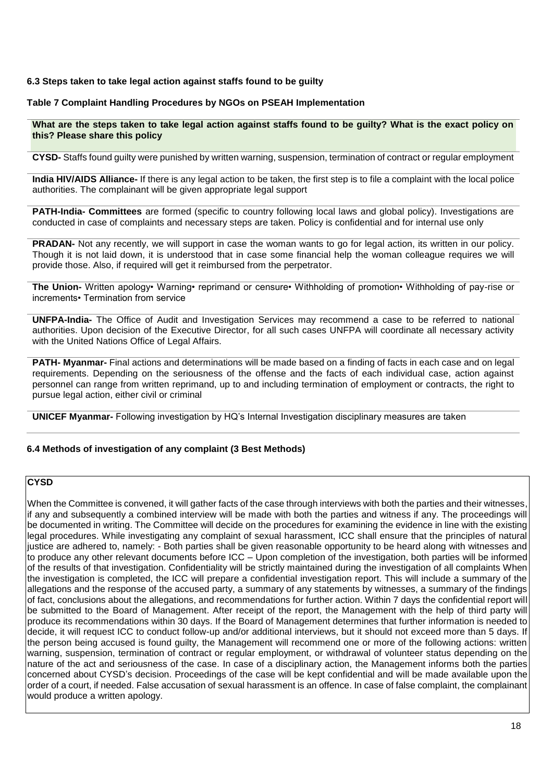#### **6.3 Steps taken to take legal action against staffs found to be guilty**

#### **Table 7 Complaint Handling Procedures by NGOs on PSEAH Implementation**

**What are the steps taken to take legal action against staffs found to be guilty? What is the exact policy on this? Please share this policy**

**CYSD-** Staffs found guilty were punished by written warning, suspension, termination of contract or regular employment

**India HIV/AIDS Alliance-** If there is any legal action to be taken, the first step is to file a complaint with the local police authorities. The complainant will be given appropriate legal support

**PATH-India- Committees** are formed (specific to country following local laws and global policy). Investigations are conducted in case of complaints and necessary steps are taken. Policy is confidential and for internal use only

**PRADAN-** Not any recently, we will support in case the woman wants to go for legal action, its written in our policy. Though it is not laid down, it is understood that in case some financial help the woman colleague requires we will provide those. Also, if required will get it reimbursed from the perpetrator.

**The Union-** Written apology• Warning• reprimand or censure• Withholding of promotion• Withholding of pay-rise or increments• Termination from service

**UNFPA-India-** The Office of Audit and Investigation Services may recommend a case to be referred to national authorities. Upon decision of the Executive Director, for all such cases UNFPA will coordinate all necessary activity with the United Nations Office of Legal Affairs.

**PATH- Myanmar-** Final actions and determinations will be made based on a finding of facts in each case and on legal requirements. Depending on the seriousness of the offense and the facts of each individual case, action against personnel can range from written reprimand, up to and including termination of employment or contracts, the right to pursue legal action, either civil or criminal

**UNICEF Myanmar-** Following investigation by HQ's Internal Investigation disciplinary measures are taken

#### **6.4 Methods of investigation of any complaint (3 Best Methods)**

## **CYSD**

When the Committee is convened, it will gather facts of the case through interviews with both the parties and their witnesses, if any and subsequently a combined interview will be made with both the parties and witness if any. The proceedings will be documented in writing. The Committee will decide on the procedures for examining the evidence in line with the existing legal procedures. While investigating any complaint of sexual harassment, ICC shall ensure that the principles of natural justice are adhered to, namely: - Both parties shall be given reasonable opportunity to be heard along with witnesses and to produce any other relevant documents before ICC – Upon completion of the investigation, both parties will be informed of the results of that investigation. Confidentiality will be strictly maintained during the investigation of all complaints When the investigation is completed, the ICC will prepare a confidential investigation report. This will include a summary of the allegations and the response of the accused party, a summary of any statements by witnesses, a summary of the findings of fact, conclusions about the allegations, and recommendations for further action. Within 7 days the confidential report will be submitted to the Board of Management. After receipt of the report, the Management with the help of third party will produce its recommendations within 30 days. If the Board of Management determines that further information is needed to decide, it will request ICC to conduct follow-up and/or additional interviews, but it should not exceed more than 5 days. If the person being accused is found guilty, the Management will recommend one or more of the following actions: written warning, suspension, termination of contract or regular employment, or withdrawal of volunteer status depending on the nature of the act and seriousness of the case. In case of a disciplinary action, the Management informs both the parties concerned about CYSD's decision. Proceedings of the case will be kept confidential and will be made available upon the order of a court, if needed. False accusation of sexual harassment is an offence. In case of false complaint, the complainant would produce a written apology.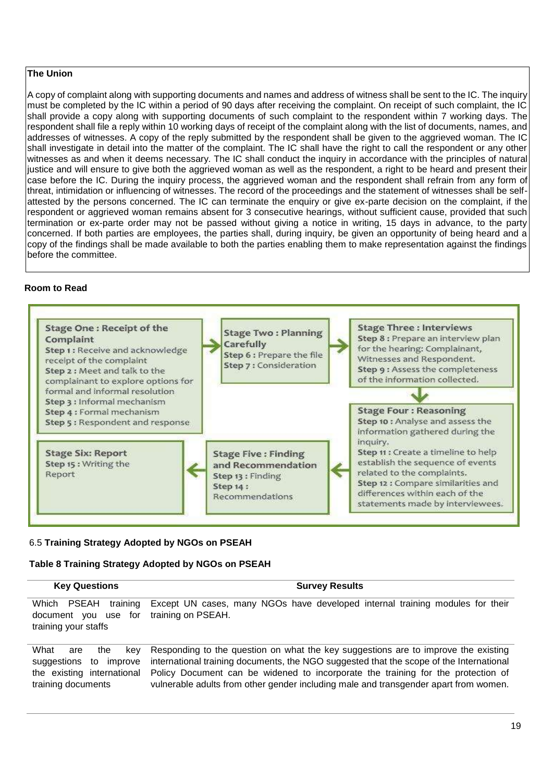#### **The Union**

A copy of complaint along with supporting documents and names and address of witness shall be sent to the IC. The inquiry must be completed by the IC within a period of 90 days after receiving the complaint. On receipt of such complaint, the IC shall provide a copy along with supporting documents of such complaint to the respondent within 7 working days. The respondent shall file a reply within 10 working days of receipt of the complaint along with the list of documents, names, and addresses of witnesses. A copy of the reply submitted by the respondent shall be given to the aggrieved woman. The IC shall investigate in detail into the matter of the complaint. The IC shall have the right to call the respondent or any other witnesses as and when it deems necessary. The IC shall conduct the inquiry in accordance with the principles of natural justice and will ensure to give both the aggrieved woman as well as the respondent, a right to be heard and present their case before the IC. During the inquiry process, the aggrieved woman and the respondent shall refrain from any form of threat, intimidation or influencing of witnesses. The record of the proceedings and the statement of witnesses shall be selfattested by the persons concerned. The IC can terminate the enquiry or give ex-parte decision on the complaint, if the respondent or aggrieved woman remains absent for 3 consecutive hearings, without sufficient cause, provided that such termination or ex-parte order may not be passed without giving a notice in writing, 15 days in advance, to the party concerned. If both parties are employees, the parties shall, during inquiry, be given an opportunity of being heard and a copy of the findings shall be made available to both the parties enabling them to make representation against the findings before the committee.

#### **Room to Read**



## 6.5 **Training Strategy Adopted by NGOs on PSEAH**

## **Table 8 Training Strategy Adopted by NGOs on PSEAH**

| <b>Key Questions</b>                                                                                       | <b>Survey Results</b>                                                                                                                                                                                                                                                                                                                                     |
|------------------------------------------------------------------------------------------------------------|-----------------------------------------------------------------------------------------------------------------------------------------------------------------------------------------------------------------------------------------------------------------------------------------------------------------------------------------------------------|
| training<br>PSEAH<br>Which<br>document you use for<br>training your staffs                                 | Except UN cases, many NGOs have developed internal training modules for their<br>training on PSEAH.                                                                                                                                                                                                                                                       |
| What<br>the<br>are<br>kev<br>suggestions to<br>improve<br>the existing international<br>training documents | Responding to the question on what the key suggestions are to improve the existing<br>international training documents, the NGO suggested that the scope of the International<br>Policy Document can be widened to incorporate the training for the protection of<br>vulnerable adults from other gender including male and transgender apart from women. |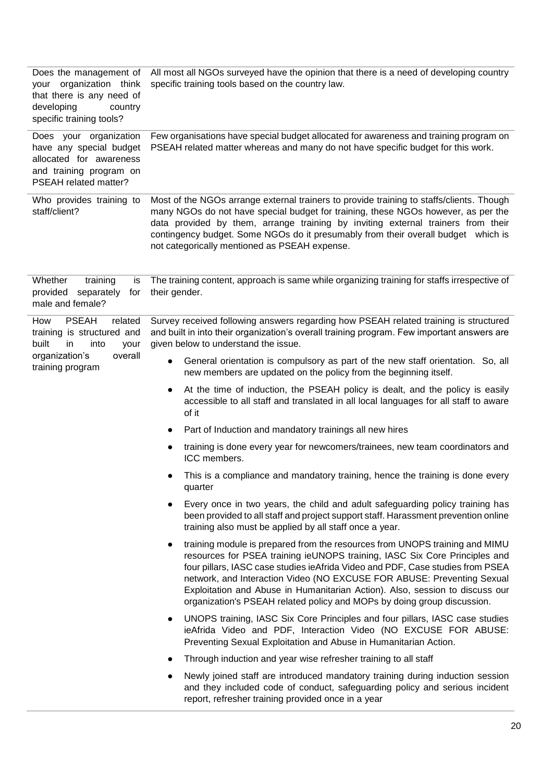| Does the management of<br>your organization think<br>that there is any need of<br>developing<br>country<br>specific training tools? | All most all NGOs surveyed have the opinion that there is a need of developing country<br>specific training tools based on the country law.                                                                                                                                                                                                                                                                                                                                      |  |  |  |  |
|-------------------------------------------------------------------------------------------------------------------------------------|----------------------------------------------------------------------------------------------------------------------------------------------------------------------------------------------------------------------------------------------------------------------------------------------------------------------------------------------------------------------------------------------------------------------------------------------------------------------------------|--|--|--|--|
| Does your organization<br>have any special budget<br>allocated for awareness<br>and training program on<br>PSEAH related matter?    | Few organisations have special budget allocated for awareness and training program on<br>PSEAH related matter whereas and many do not have specific budget for this work.                                                                                                                                                                                                                                                                                                        |  |  |  |  |
| Who provides training to<br>staff/client?                                                                                           | Most of the NGOs arrange external trainers to provide training to staffs/clients. Though<br>many NGOs do not have special budget for training, these NGOs however, as per the<br>data provided by them, arrange training by inviting external trainers from their<br>contingency budget. Some NGOs do it presumably from their overall budget which is<br>not categorically mentioned as PSEAH expense.                                                                          |  |  |  |  |
| Whether<br>training<br>is<br>provided<br>separately<br>for<br>male and female?                                                      | The training content, approach is same while organizing training for staffs irrespective of<br>their gender.                                                                                                                                                                                                                                                                                                                                                                     |  |  |  |  |
| How<br><b>PSEAH</b><br>related<br>training is structured and<br>built<br>into<br>in<br>your                                         | Survey received following answers regarding how PSEAH related training is structured<br>and built in into their organization's overall training program. Few important answers are<br>given below to understand the issue.                                                                                                                                                                                                                                                       |  |  |  |  |
| overall<br>organization's<br>training program                                                                                       | General orientation is compulsory as part of the new staff orientation. So, all<br>new members are updated on the policy from the beginning itself.                                                                                                                                                                                                                                                                                                                              |  |  |  |  |
|                                                                                                                                     | At the time of induction, the PSEAH policy is dealt, and the policy is easily<br>accessible to all staff and translated in all local languages for all staff to aware<br>of it                                                                                                                                                                                                                                                                                                   |  |  |  |  |
|                                                                                                                                     | Part of Induction and mandatory trainings all new hires                                                                                                                                                                                                                                                                                                                                                                                                                          |  |  |  |  |
|                                                                                                                                     | training is done every year for newcomers/trainees, new team coordinators and<br>ICC members.                                                                                                                                                                                                                                                                                                                                                                                    |  |  |  |  |
|                                                                                                                                     | This is a compliance and mandatory training, hence the training is done every<br>quarter                                                                                                                                                                                                                                                                                                                                                                                         |  |  |  |  |
|                                                                                                                                     | Every once in two years, the child and adult safeguarding policy training has<br>been provided to all staff and project support staff. Harassment prevention online<br>training also must be applied by all staff once a year.                                                                                                                                                                                                                                                   |  |  |  |  |
|                                                                                                                                     | training module is prepared from the resources from UNOPS training and MIMU<br>resources for PSEA training ieUNOPS training, IASC Six Core Principles and<br>four pillars, IASC case studies ieAfrida Video and PDF, Case studies from PSEA<br>network, and Interaction Video (NO EXCUSE FOR ABUSE: Preventing Sexual<br>Exploitation and Abuse in Humanitarian Action). Also, session to discuss our<br>organization's PSEAH related policy and MOPs by doing group discussion. |  |  |  |  |
|                                                                                                                                     | UNOPS training, IASC Six Core Principles and four pillars, IASC case studies<br>ieAfrida Video and PDF, Interaction Video (NO EXCUSE FOR ABUSE:<br>Preventing Sexual Exploitation and Abuse in Humanitarian Action.                                                                                                                                                                                                                                                              |  |  |  |  |
|                                                                                                                                     | Through induction and year wise refresher training to all staff                                                                                                                                                                                                                                                                                                                                                                                                                  |  |  |  |  |
|                                                                                                                                     | Newly joined staff are introduced mandatory training during induction session<br>and they included code of conduct, safeguarding policy and serious incident<br>report, refresher training provided once in a year                                                                                                                                                                                                                                                               |  |  |  |  |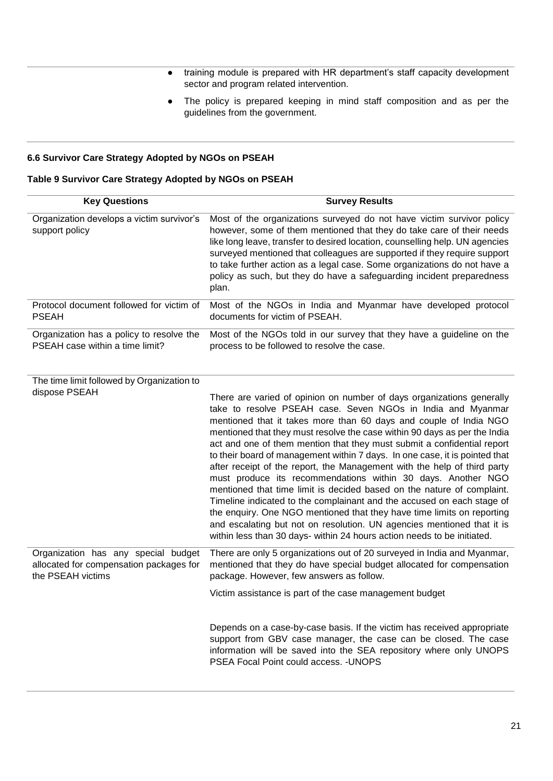- training module is prepared with HR department's staff capacity development sector and program related intervention.
- The policy is prepared keeping in mind staff composition and as per the guidelines from the government.

## **6.6 Survivor Care Strategy Adopted by NGOs on PSEAH**

## **Table 9 Survivor Care Strategy Adopted by NGOs on PSEAH**

| <b>Key Questions</b>                                                                                | <b>Survey Results</b>                                                                                                                                                                                                                                                                                                                                                                                                                                                                                                                                                                                                                                                                                                                                                                                                                                                                                                                                                           |
|-----------------------------------------------------------------------------------------------------|---------------------------------------------------------------------------------------------------------------------------------------------------------------------------------------------------------------------------------------------------------------------------------------------------------------------------------------------------------------------------------------------------------------------------------------------------------------------------------------------------------------------------------------------------------------------------------------------------------------------------------------------------------------------------------------------------------------------------------------------------------------------------------------------------------------------------------------------------------------------------------------------------------------------------------------------------------------------------------|
| Organization develops a victim survivor's<br>support policy                                         | Most of the organizations surveyed do not have victim survivor policy<br>however, some of them mentioned that they do take care of their needs<br>like long leave, transfer to desired location, counselling help. UN agencies<br>surveyed mentioned that colleagues are supported if they require support<br>to take further action as a legal case. Some organizations do not have a<br>policy as such, but they do have a safeguarding incident preparedness<br>plan.                                                                                                                                                                                                                                                                                                                                                                                                                                                                                                        |
| Protocol document followed for victim of<br><b>PSEAH</b>                                            | Most of the NGOs in India and Myanmar have developed protocol<br>documents for victim of PSEAH.                                                                                                                                                                                                                                                                                                                                                                                                                                                                                                                                                                                                                                                                                                                                                                                                                                                                                 |
| Organization has a policy to resolve the<br>PSEAH case within a time limit?                         | Most of the NGOs told in our survey that they have a guideline on the<br>process to be followed to resolve the case.                                                                                                                                                                                                                                                                                                                                                                                                                                                                                                                                                                                                                                                                                                                                                                                                                                                            |
| The time limit followed by Organization to<br>dispose PSEAH                                         | There are varied of opinion on number of days organizations generally<br>take to resolve PSEAH case. Seven NGOs in India and Myanmar<br>mentioned that it takes more than 60 days and couple of India NGO<br>mentioned that they must resolve the case within 90 days as per the India<br>act and one of them mention that they must submit a confidential report<br>to their board of management within 7 days. In one case, it is pointed that<br>after receipt of the report, the Management with the help of third party<br>must produce its recommendations within 30 days. Another NGO<br>mentioned that time limit is decided based on the nature of complaint.<br>Timeline indicated to the complainant and the accused on each stage of<br>the enquiry. One NGO mentioned that they have time limits on reporting<br>and escalating but not on resolution. UN agencies mentioned that it is<br>within less than 30 days- within 24 hours action needs to be initiated. |
| Organization has any special budget<br>allocated for compensation packages for<br>the PSEAH victims | There are only 5 organizations out of 20 surveyed in India and Myanmar,<br>mentioned that they do have special budget allocated for compensation<br>package. However, few answers as follow.                                                                                                                                                                                                                                                                                                                                                                                                                                                                                                                                                                                                                                                                                                                                                                                    |
|                                                                                                     | Victim assistance is part of the case management budget<br>Depends on a case-by-case basis. If the victim has received appropriate<br>support from GBV case manager, the case can be closed. The case<br>information will be saved into the SEA repository where only UNOPS<br>PSEA Focal Point could access. - UNOPS                                                                                                                                                                                                                                                                                                                                                                                                                                                                                                                                                                                                                                                           |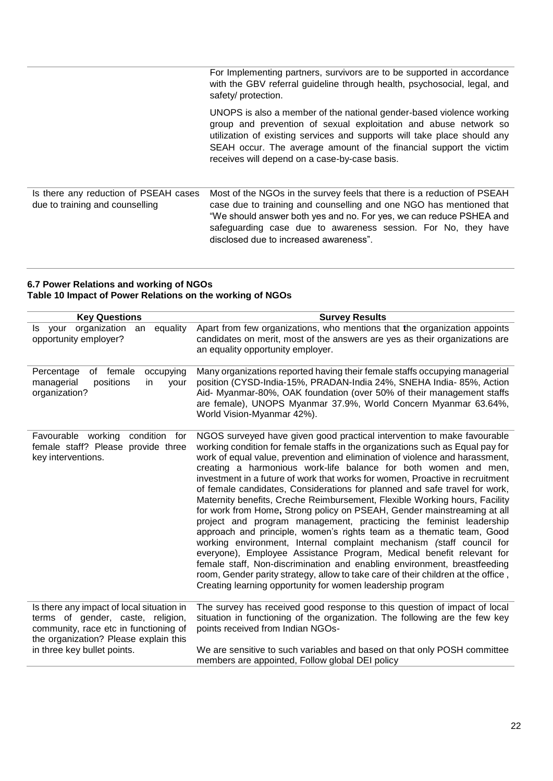For Implementing partners, survivors are to be supported in accordance with the GBV referral guideline through health, psychosocial, legal, and safety/ protection. UNOPS is also a member of the national gender-based violence working group and prevention of sexual exploitation and abuse network so utilization of existing services and supports will take place should any SEAH occur. The average amount of the financial support the victim receives will depend on a case-by-case basis. Is there any reduction of PSEAH cases due to training and counselling Most of the NGOs in the survey feels that there is a reduction of PSEAH case due to training and counselling and one NGO has mentioned that "We should answer both yes and no. For yes, we can reduce PSHEA and safeguarding case due to awareness session. For No, they have disclosed due to increased awareness".

#### **6.7 Power Relations and working of NGOs Table 10 Impact of Power Relations on the working of NGOs**

| <b>Key Questions</b>                                                                                                                                                                            | <b>Survey Results</b>                                                                                                                                                                                                                                                                                                                                                                                                                                                                                                                                                                                                                                                                                                                                                                                                                                                                                                                                                                                                                                                                                                                                            |
|-------------------------------------------------------------------------------------------------------------------------------------------------------------------------------------------------|------------------------------------------------------------------------------------------------------------------------------------------------------------------------------------------------------------------------------------------------------------------------------------------------------------------------------------------------------------------------------------------------------------------------------------------------------------------------------------------------------------------------------------------------------------------------------------------------------------------------------------------------------------------------------------------------------------------------------------------------------------------------------------------------------------------------------------------------------------------------------------------------------------------------------------------------------------------------------------------------------------------------------------------------------------------------------------------------------------------------------------------------------------------|
| organization<br>equality<br>Is your<br>an<br>opportunity employer?                                                                                                                              | Apart from few organizations, who mentions that the organization appoints<br>candidates on merit, most of the answers are yes as their organizations are<br>an equality opportunity employer.                                                                                                                                                                                                                                                                                                                                                                                                                                                                                                                                                                                                                                                                                                                                                                                                                                                                                                                                                                    |
| Percentage<br>of female<br>occupying<br>positions<br>managerial<br>in<br>your<br>organization?                                                                                                  | Many organizations reported having their female staffs occupying managerial<br>position (CYSD-India-15%, PRADAN-India 24%, SNEHA India-85%, Action<br>Aid- Myanmar-80%, OAK foundation (over 50% of their management staffs<br>are female), UNOPS Myanmar 37.9%, World Concern Myanmar 63.64%,<br>World Vision-Myanmar 42%).                                                                                                                                                                                                                                                                                                                                                                                                                                                                                                                                                                                                                                                                                                                                                                                                                                     |
| Favourable working<br>condition<br>for<br>female staff? Please provide three<br>key interventions.                                                                                              | NGOS surveyed have given good practical intervention to make favourable<br>working condition for female staffs in the organizations such as Equal pay for<br>work of equal value, prevention and elimination of violence and harassment,<br>creating a harmonious work-life balance for both women and men,<br>investment in a future of work that works for women, Proactive in recruitment<br>of female candidates, Considerations for planned and safe travel for work,<br>Maternity benefits, Creche Reimbursement, Flexible Working hours, Facility<br>for work from Home, Strong policy on PSEAH, Gender mainstreaming at all<br>project and program management, practicing the feminist leadership<br>approach and principle, women's rights team as a thematic team, Good<br>working environment, Internal complaint mechanism (staff council for<br>everyone), Employee Assistance Program, Medical benefit relevant for<br>female staff, Non-discrimination and enabling environment, breastfeeding<br>room, Gender parity strategy, allow to take care of their children at the office,<br>Creating learning opportunity for women leadership program |
| Is there any impact of local situation in<br>terms of gender, caste, religion,<br>community, race etc in functioning of<br>the organization? Please explain this<br>in three key bullet points. | The survey has received good response to this question of impact of local<br>situation in functioning of the organization. The following are the few key<br>points received from Indian NGOs-<br>We are sensitive to such variables and based on that only POSH committee                                                                                                                                                                                                                                                                                                                                                                                                                                                                                                                                                                                                                                                                                                                                                                                                                                                                                        |
|                                                                                                                                                                                                 | members are appointed, Follow global DEI policy                                                                                                                                                                                                                                                                                                                                                                                                                                                                                                                                                                                                                                                                                                                                                                                                                                                                                                                                                                                                                                                                                                                  |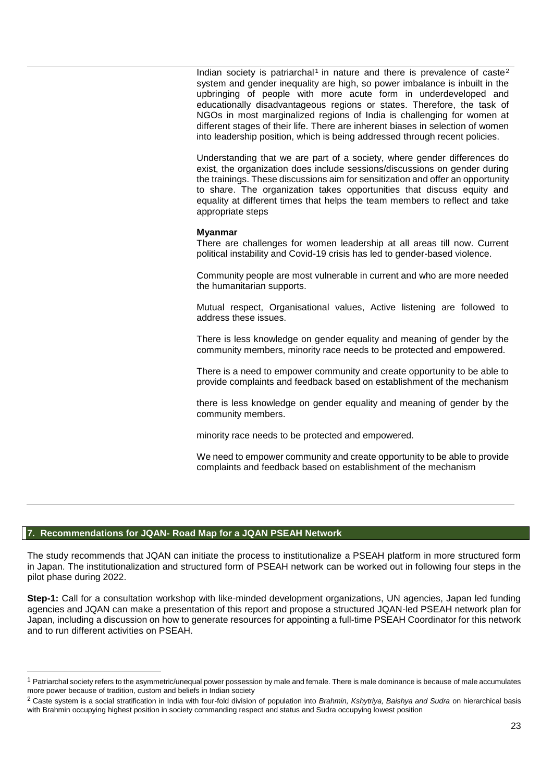Indian society is patriarchal<sup>1</sup> in nature and there is prevalence of caste<sup>2</sup> system and gender inequality are high, so power imbalance is inbuilt in the upbringing of people with more acute form in underdeveloped and educationally disadvantageous regions or states. Therefore, the task of NGOs in most marginalized regions of India is challenging for women at different stages of their life. There are inherent biases in selection of women into leadership position, which is being addressed through recent policies.

Understanding that we are part of a society, where gender differences do exist, the organization does include sessions/discussions on gender during the trainings. These discussions aim for sensitization and offer an opportunity to share. The organization takes opportunities that discuss equity and equality at different times that helps the team members to reflect and take appropriate steps

#### **Myanmar**

There are challenges for women leadership at all areas till now. Current political instability and Covid-19 crisis has led to gender-based violence.

Community people are most vulnerable in current and who are more needed the humanitarian supports.

Mutual respect, Organisational values, Active listening are followed to address these issues.

There is less knowledge on gender equality and meaning of gender by the community members, minority race needs to be protected and empowered.

There is a need to empower community and create opportunity to be able to provide complaints and feedback based on establishment of the mechanism

there is less knowledge on gender equality and meaning of gender by the community members.

minority race needs to be protected and empowered.

We need to empower community and create opportunity to be able to provide complaints and feedback based on establishment of the mechanism

#### **7. Recommendations for JQAN- Road Map for a JQAN PSEAH Network**

l

The study recommends that JQAN can initiate the process to institutionalize a PSEAH platform in more structured form in Japan. The institutionalization and structured form of PSEAH network can be worked out in following four steps in the pilot phase during 2022.

**Step-1:** Call for a consultation workshop with like-minded development organizations, UN agencies, Japan led funding agencies and JQAN can make a presentation of this report and propose a structured JQAN-led PSEAH network plan for Japan. including a discussion on how to generate resources for appointing a full-time PSEAH Coordinator for this network and to run different activities on PSEAH.

 $1$  Patriarchal society refers to the asymmetric/unequal power possession by male and female. There is male dominance is because of male accumulates more power because of tradition, custom and beliefs in Indian society

<sup>2</sup> Caste system is a social stratification in India with four-fold division of population into *Brahmin, Kshytriya, Baishya and Sudra* on hierarchical basis with Brahmin occupying highest position in society commanding respect and status and Sudra occupying lowest position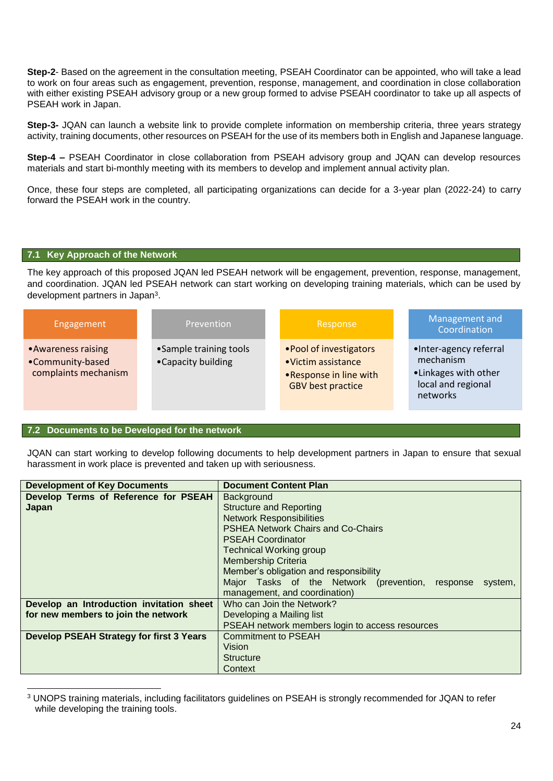**Step-2**- Based on the agreement in the consultation meeting, PSEAH Coordinator can be appointed, who will take a lead to work on four areas such as engagement, prevention, response, management, and coordination in close collaboration with either existing PSEAH advisory group or a new group formed to advise PSEAH coordinator to take up all aspects of PSEAH work in Japan.

**Step-3-** JQAN can launch a website link to provide complete information on membership criteria, three years strategy activity, training documents, other resources on PSEAH for the use of its members both in English and Japanese language.

**Step-4 –** PSEAH Coordinator in close collaboration from PSEAH advisory group and JQAN can develop resources materials and start bi-monthly meeting with its members to develop and implement annual activity plan.

Once, these four steps are completed, all participating organizations can decide for a 3-year plan (2022-24) to carry forward the PSEAH work in the country.

#### **7.1 Key Approach of the Network**

The key approach of this proposed JQAN led PSEAH network will be engagement, prevention, response, management, and coordination. JQAN led PSEAH network can start working on developing training materials, which can be used by development partners in Japan<sup>3</sup>.

| Engagement                                                      | Prevention                                    | Response                                                                                            | Management and<br>Coordination                                                                |
|-----------------------------------------------------------------|-----------------------------------------------|-----------------------------------------------------------------------------------------------------|-----------------------------------------------------------------------------------------------|
| • Awareness raising<br>•Community-based<br>complaints mechanism | • Sample training tools<br>•Capacity building | • Pool of investigators<br>•Victim assistance<br>.Response in line with<br><b>GBV</b> best practice | •Inter-agency referral<br>mechanism<br>•Linkages with other<br>local and regional<br>networks |

## **7.2 Documents to be Developed for the network**

l

JQAN can start working to develop following documents to help development partners in Japan to ensure that sexual harassment in work place is prevented and taken up with seriousness.

| <b>Development of Key Documents</b>             | <b>Document Content Plan</b>                                |  |  |
|-------------------------------------------------|-------------------------------------------------------------|--|--|
| Develop Terms of Reference for PSEAH            | Background                                                  |  |  |
| Japan                                           | <b>Structure and Reporting</b>                              |  |  |
|                                                 | <b>Network Responsibilities</b>                             |  |  |
|                                                 | <b>PSHEA Network Chairs and Co-Chairs</b>                   |  |  |
|                                                 | <b>PSEAH Coordinator</b>                                    |  |  |
|                                                 | <b>Technical Working group</b>                              |  |  |
|                                                 | <b>Membership Criteria</b>                                  |  |  |
|                                                 | Member's obligation and responsibility                      |  |  |
|                                                 | Major Tasks of the Network (prevention, response<br>system, |  |  |
|                                                 | management, and coordination)                               |  |  |
| Develop an Introduction invitation sheet        | Who can Join the Network?                                   |  |  |
| for new members to join the network             | Developing a Mailing list                                   |  |  |
|                                                 | PSEAH network members login to access resources             |  |  |
| <b>Develop PSEAH Strategy for first 3 Years</b> | <b>Commitment to PSEAH</b>                                  |  |  |
|                                                 | Vision                                                      |  |  |
|                                                 | <b>Structure</b>                                            |  |  |
|                                                 | Context                                                     |  |  |

<sup>3</sup> UNOPS training materials, including facilitators guidelines on PSEAH is strongly recommended for JQAN to refer while developing the training tools.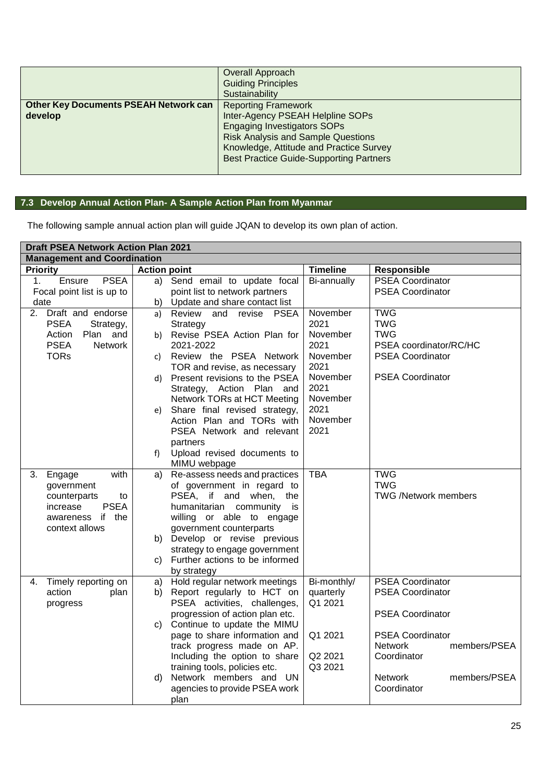|                                              | Overall Approach                               |
|----------------------------------------------|------------------------------------------------|
|                                              | <b>Guiding Principles</b>                      |
|                                              | Sustainability                                 |
| <b>Other Key Documents PSEAH Network can</b> | <b>Reporting Framework</b>                     |
| develop                                      | Inter-Agency PSEAH Helpline SOPs               |
|                                              | <b>Engaging Investigators SOPs</b>             |
|                                              | <b>Risk Analysis and Sample Questions</b>      |
|                                              | Knowledge, Attitude and Practice Survey        |
|                                              | <b>Best Practice Guide-Supporting Partners</b> |
|                                              |                                                |

# **7.3 Develop Annual Action Plan- A Sample Action Plan from Myanmar**

The following sample annual action plan will guide JQAN to develop its own plan of action.

|                                                                                                         | <b>Draft PSEA Network Action Plan 2021</b>                                                                                                                                                                                                                                                                                                                                                                                                                                                                                              |                                                                                    |                                                                                                                                                                                                                                           |  |  |
|---------------------------------------------------------------------------------------------------------|-----------------------------------------------------------------------------------------------------------------------------------------------------------------------------------------------------------------------------------------------------------------------------------------------------------------------------------------------------------------------------------------------------------------------------------------------------------------------------------------------------------------------------------------|------------------------------------------------------------------------------------|-------------------------------------------------------------------------------------------------------------------------------------------------------------------------------------------------------------------------------------------|--|--|
| <b>Management and Coordination</b>                                                                      |                                                                                                                                                                                                                                                                                                                                                                                                                                                                                                                                         |                                                                                    |                                                                                                                                                                                                                                           |  |  |
| <b>Priority</b>                                                                                         | <b>Action point</b>                                                                                                                                                                                                                                                                                                                                                                                                                                                                                                                     | <b>Timeline</b>                                                                    | <b>Responsible</b>                                                                                                                                                                                                                        |  |  |
| Ensure<br><b>PSEA</b><br>1 <sub>1</sub>                                                                 | Send email to update focal<br>a)                                                                                                                                                                                                                                                                                                                                                                                                                                                                                                        | Bi-annually                                                                        | <b>PSEA Coordinator</b>                                                                                                                                                                                                                   |  |  |
| Focal point list is up to                                                                               | point list to network partners                                                                                                                                                                                                                                                                                                                                                                                                                                                                                                          |                                                                                    | <b>PSEA Coordinator</b>                                                                                                                                                                                                                   |  |  |
| date                                                                                                    | Update and share contact list<br>b)                                                                                                                                                                                                                                                                                                                                                                                                                                                                                                     |                                                                                    |                                                                                                                                                                                                                                           |  |  |
| 2. Draft and endorse                                                                                    | Review<br>and revise<br><b>PSEA</b><br>a)                                                                                                                                                                                                                                                                                                                                                                                                                                                                                               | November                                                                           | <b>TWG</b>                                                                                                                                                                                                                                |  |  |
| <b>PSEA</b><br>Strategy,                                                                                | Strategy                                                                                                                                                                                                                                                                                                                                                                                                                                                                                                                                | 2021                                                                               | <b>TWG</b>                                                                                                                                                                                                                                |  |  |
| Action<br>Plan and                                                                                      | Revise PSEA Action Plan for<br>b)                                                                                                                                                                                                                                                                                                                                                                                                                                                                                                       | November                                                                           | <b>TWG</b>                                                                                                                                                                                                                                |  |  |
| <b>PSEA</b><br><b>Network</b>                                                                           | 2021-2022                                                                                                                                                                                                                                                                                                                                                                                                                                                                                                                               | 2021                                                                               | PSEA coordinator/RC/HC                                                                                                                                                                                                                    |  |  |
| <b>TORs</b>                                                                                             | Review the PSEA Network<br>C)                                                                                                                                                                                                                                                                                                                                                                                                                                                                                                           | November                                                                           | <b>PSEA Coordinator</b>                                                                                                                                                                                                                   |  |  |
|                                                                                                         | TOR and revise, as necessary                                                                                                                                                                                                                                                                                                                                                                                                                                                                                                            | 2021                                                                               |                                                                                                                                                                                                                                           |  |  |
|                                                                                                         | d) Present revisions to the PSEA                                                                                                                                                                                                                                                                                                                                                                                                                                                                                                        | November                                                                           | <b>PSEA Coordinator</b>                                                                                                                                                                                                                   |  |  |
|                                                                                                         | Strategy, Action Plan and                                                                                                                                                                                                                                                                                                                                                                                                                                                                                                               | 2021<br>November                                                                   |                                                                                                                                                                                                                                           |  |  |
|                                                                                                         | Network TORs at HCT Meeting                                                                                                                                                                                                                                                                                                                                                                                                                                                                                                             | 2021                                                                               |                                                                                                                                                                                                                                           |  |  |
|                                                                                                         | Share final revised strategy,<br>e)<br>Action Plan and TORs with                                                                                                                                                                                                                                                                                                                                                                                                                                                                        | November                                                                           |                                                                                                                                                                                                                                           |  |  |
|                                                                                                         | PSEA Network and relevant                                                                                                                                                                                                                                                                                                                                                                                                                                                                                                               | 2021                                                                               |                                                                                                                                                                                                                                           |  |  |
|                                                                                                         | partners                                                                                                                                                                                                                                                                                                                                                                                                                                                                                                                                |                                                                                    |                                                                                                                                                                                                                                           |  |  |
|                                                                                                         | Upload revised documents to<br>f)                                                                                                                                                                                                                                                                                                                                                                                                                                                                                                       |                                                                                    |                                                                                                                                                                                                                                           |  |  |
|                                                                                                         | MIMU webpage                                                                                                                                                                                                                                                                                                                                                                                                                                                                                                                            |                                                                                    |                                                                                                                                                                                                                                           |  |  |
|                                                                                                         |                                                                                                                                                                                                                                                                                                                                                                                                                                                                                                                                         |                                                                                    |                                                                                                                                                                                                                                           |  |  |
|                                                                                                         |                                                                                                                                                                                                                                                                                                                                                                                                                                                                                                                                         |                                                                                    | <b>TWG</b>                                                                                                                                                                                                                                |  |  |
| to                                                                                                      | PSEA, if and when,                                                                                                                                                                                                                                                                                                                                                                                                                                                                                                                      | the                                                                                |                                                                                                                                                                                                                                           |  |  |
| <b>PSEA</b><br>increase                                                                                 | humanitarian community                                                                                                                                                                                                                                                                                                                                                                                                                                                                                                                  | is                                                                                 |                                                                                                                                                                                                                                           |  |  |
| awareness if the                                                                                        | willing or able to engage                                                                                                                                                                                                                                                                                                                                                                                                                                                                                                               |                                                                                    |                                                                                                                                                                                                                                           |  |  |
| context allows                                                                                          | government counterparts                                                                                                                                                                                                                                                                                                                                                                                                                                                                                                                 |                                                                                    |                                                                                                                                                                                                                                           |  |  |
|                                                                                                         | b) Develop or revise previous                                                                                                                                                                                                                                                                                                                                                                                                                                                                                                           |                                                                                    |                                                                                                                                                                                                                                           |  |  |
|                                                                                                         |                                                                                                                                                                                                                                                                                                                                                                                                                                                                                                                                         |                                                                                    |                                                                                                                                                                                                                                           |  |  |
|                                                                                                         | C)                                                                                                                                                                                                                                                                                                                                                                                                                                                                                                                                      |                                                                                    |                                                                                                                                                                                                                                           |  |  |
|                                                                                                         |                                                                                                                                                                                                                                                                                                                                                                                                                                                                                                                                         |                                                                                    |                                                                                                                                                                                                                                           |  |  |
| 4.                                                                                                      | a)                                                                                                                                                                                                                                                                                                                                                                                                                                                                                                                                      |                                                                                    |                                                                                                                                                                                                                                           |  |  |
|                                                                                                         |                                                                                                                                                                                                                                                                                                                                                                                                                                                                                                                                         |                                                                                    |                                                                                                                                                                                                                                           |  |  |
|                                                                                                         |                                                                                                                                                                                                                                                                                                                                                                                                                                                                                                                                         |                                                                                    |                                                                                                                                                                                                                                           |  |  |
|                                                                                                         |                                                                                                                                                                                                                                                                                                                                                                                                                                                                                                                                         |                                                                                    |                                                                                                                                                                                                                                           |  |  |
|                                                                                                         |                                                                                                                                                                                                                                                                                                                                                                                                                                                                                                                                         |                                                                                    |                                                                                                                                                                                                                                           |  |  |
|                                                                                                         |                                                                                                                                                                                                                                                                                                                                                                                                                                                                                                                                         |                                                                                    |                                                                                                                                                                                                                                           |  |  |
|                                                                                                         |                                                                                                                                                                                                                                                                                                                                                                                                                                                                                                                                         |                                                                                    |                                                                                                                                                                                                                                           |  |  |
|                                                                                                         |                                                                                                                                                                                                                                                                                                                                                                                                                                                                                                                                         |                                                                                    |                                                                                                                                                                                                                                           |  |  |
|                                                                                                         |                                                                                                                                                                                                                                                                                                                                                                                                                                                                                                                                         |                                                                                    |                                                                                                                                                                                                                                           |  |  |
|                                                                                                         |                                                                                                                                                                                                                                                                                                                                                                                                                                                                                                                                         |                                                                                    |                                                                                                                                                                                                                                           |  |  |
|                                                                                                         |                                                                                                                                                                                                                                                                                                                                                                                                                                                                                                                                         |                                                                                    |                                                                                                                                                                                                                                           |  |  |
| 3.<br>Engage<br>with<br>government<br>counterparts<br>Timely reporting on<br>action<br>plan<br>progress | Re-assess needs and practices<br>a)<br>of government in regard to<br>strategy to engage government<br>Further actions to be informed<br>by strategy<br>Hold regular network meetings<br>Report regularly to HCT on<br>b)<br>PSEA activities, challenges,<br>progression of action plan etc.<br>c) Continue to update the MIMU<br>page to share information and<br>track progress made on AP.<br>Including the option to share<br>training tools, policies etc.<br>Network members and UN<br>d)<br>agencies to provide PSEA work<br>plan | <b>TBA</b><br>Bi-monthly/<br>quarterly<br>Q1 2021<br>Q1 2021<br>Q2 2021<br>Q3 2021 | <b>TWG</b><br>TWG /Network members<br><b>PSEA Coordinator</b><br><b>PSEA Coordinator</b><br><b>PSEA Coordinator</b><br><b>PSEA Coordinator</b><br>members/PSEA<br><b>Network</b><br>Coordinator<br>Network<br>members/PSEA<br>Coordinator |  |  |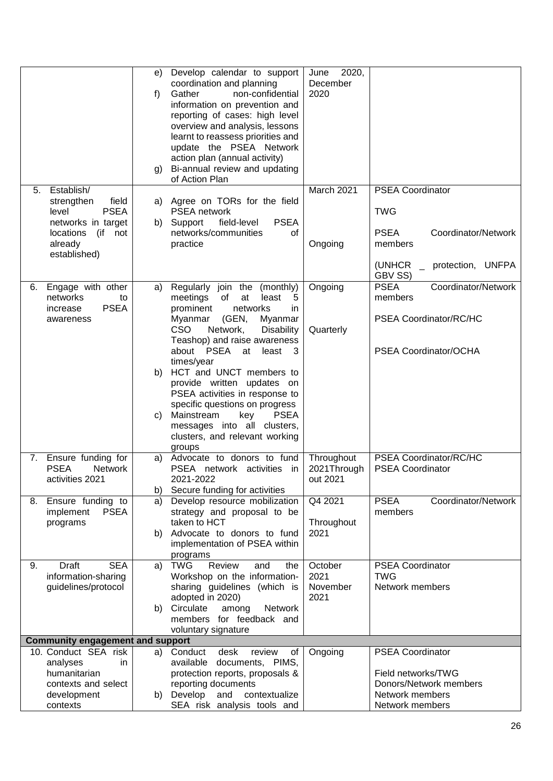|    |                                         |    | Develop calendar to support                                   | 2020,<br>June |                                    |
|----|-----------------------------------------|----|---------------------------------------------------------------|---------------|------------------------------------|
|    |                                         | e) | coordination and planning                                     | December      |                                    |
|    |                                         | f) | Gather<br>non-confidential                                    | 2020          |                                    |
|    |                                         |    | information on prevention and                                 |               |                                    |
|    |                                         |    | reporting of cases: high level                                |               |                                    |
|    |                                         |    | overview and analysis, lessons                                |               |                                    |
|    |                                         |    |                                                               |               |                                    |
|    |                                         |    | learnt to reassess priorities and                             |               |                                    |
|    |                                         |    | update the PSEA Network                                       |               |                                    |
|    |                                         |    | action plan (annual activity)                                 |               |                                    |
|    |                                         | g) | Bi-annual review and updating                                 |               |                                    |
|    |                                         |    | of Action Plan                                                |               |                                    |
| 5. | Establish/<br>field                     |    |                                                               | March 2021    | <b>PSEA Coordinator</b>            |
|    | strengthen<br><b>PSEA</b><br>level      |    | a) Agree on TORs for the field<br>PSEA network                |               | <b>TWG</b>                         |
|    |                                         |    |                                                               |               |                                    |
|    | networks in target                      | b) | Support<br>field-level<br><b>PSEA</b><br>networks/communities |               | <b>PSEA</b><br>Coordinator/Network |
|    | (if<br>locations<br>not                 |    | 0f                                                            |               |                                    |
|    | already<br>established)                 |    | practice                                                      | Ongoing       | members                            |
|    |                                         |    |                                                               |               | (UNHCR<br>protection, UNFPA        |
|    |                                         |    |                                                               |               | GBV SS)                            |
| 6. | Engage with other                       | a) | Regularly join the (monthly)                                  | Ongoing       | <b>PSEA</b><br>Coordinator/Network |
|    | networks<br>to                          |    | meetings<br>of<br>at<br>least<br>5                            |               | members                            |
|    | <b>PSEA</b><br>increase                 |    | prominent<br>networks<br>in                                   |               |                                    |
|    | awareness                               |    | (GEN,<br>Myanmar<br>Myanmar                                   |               | PSEA Coordinator/RC/HC             |
|    |                                         |    | <b>CSO</b><br>Network,<br><b>Disability</b>                   | Quarterly     |                                    |
|    |                                         |    | Teashop) and raise awareness                                  |               |                                    |
|    |                                         |    | about PSEA at<br>least<br>- 3                                 |               | PSEA Coordinator/OCHA              |
|    |                                         |    | times/year                                                    |               |                                    |
|    |                                         | b) | HCT and UNCT members to                                       |               |                                    |
|    |                                         |    | provide written updates on                                    |               |                                    |
|    |                                         |    | PSEA activities in response to                                |               |                                    |
|    |                                         |    | specific questions on progress                                |               |                                    |
|    |                                         | C) | Mainstream<br>key<br><b>PSEA</b>                              |               |                                    |
|    |                                         |    | messages into all clusters,                                   |               |                                    |
|    |                                         |    | clusters, and relevant working<br>groups                      |               |                                    |
|    | 7. Ensure funding for                   | a) | Advocate to donors to fund                                    | Throughout    | PSEA Coordinator/RC/HC             |
|    | <b>PSEA</b><br><b>Network</b>           |    | PSEA network activities in                                    | 2021Through   | <b>PSEA Coordinator</b>            |
|    | activities 2021                         |    | 2021-2022                                                     | out 2021      |                                    |
|    |                                         | b) | Secure funding for activities                                 |               |                                    |
| 8. | Ensure funding to                       | a) | Develop resource mobilization                                 | Q4 2021       | <b>PSEA</b><br>Coordinator/Network |
|    | implement<br><b>PSEA</b>                |    | strategy and proposal to be                                   |               | members                            |
|    | programs                                |    | taken to HCT                                                  | Throughout    |                                    |
|    |                                         | b) | Advocate to donors to fund                                    | 2021          |                                    |
|    |                                         |    | implementation of PSEA within                                 |               |                                    |
|    |                                         |    | programs                                                      |               |                                    |
| 9. | <b>SEA</b><br>Draft                     | a) | Review<br><b>TWG</b><br>and<br>the                            | October       | PSEA Coordinator                   |
|    | information-sharing                     |    | Workshop on the information-                                  | 2021          | <b>TWG</b>                         |
|    | guidelines/protocol                     |    | sharing guidelines (which is                                  | November      | Network members                    |
|    |                                         |    | adopted in 2020)                                              | 2021          |                                    |
|    |                                         | b) | Circulate<br>among<br>Network                                 |               |                                    |
|    |                                         |    | members for feedback and                                      |               |                                    |
|    |                                         |    | voluntary signature                                           |               |                                    |
|    | <b>Community engagement and support</b> |    |                                                               |               |                                    |
|    | 10. Conduct SEA risk                    | a) | Conduct<br>desk<br>review<br>of                               | Ongoing       | <b>PSEA Coordinator</b>            |
|    | analyses<br>in.                         |    | available documents, PIMS,                                    |               |                                    |
|    | humanitarian                            |    | protection reports, proposals &                               |               | Field networks/TWG                 |
|    | contexts and select                     |    | reporting documents                                           |               | Donors/Network members             |
|    | development                             | b) | Develop<br>contextualize<br>and                               |               | Network members                    |
|    | contexts                                |    | SEA risk analysis tools and                                   |               | Network members                    |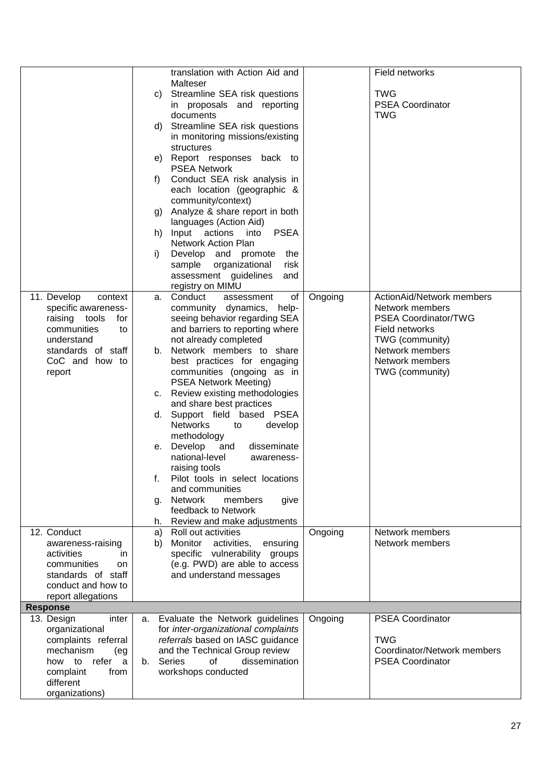|                        |    | translation with Action Aid and      |         | Field networks              |
|------------------------|----|--------------------------------------|---------|-----------------------------|
|                        |    | Malteser                             |         |                             |
|                        | C) | Streamline SEA risk questions        |         | <b>TWG</b>                  |
|                        |    | in proposals and reporting           |         | PSEA Coordinator            |
|                        |    | documents                            |         | <b>TWG</b>                  |
|                        | d) | Streamline SEA risk questions        |         |                             |
|                        |    | in monitoring missions/existing      |         |                             |
|                        |    | structures                           |         |                             |
|                        |    | e) Report responses back to          |         |                             |
|                        |    | <b>PSEA Network</b>                  |         |                             |
|                        | f) | Conduct SEA risk analysis in         |         |                             |
|                        |    | each location (geographic &          |         |                             |
|                        |    | community/context)                   |         |                             |
|                        | g) | Analyze & share report in both       |         |                             |
|                        |    | languages (Action Aid)               |         |                             |
|                        | h) | <b>PSEA</b><br>Input actions<br>into |         |                             |
|                        |    | <b>Network Action Plan</b>           |         |                             |
|                        | i) | Develop and promote<br>the           |         |                             |
|                        |    | sample organizational<br>risk        |         |                             |
|                        |    |                                      |         |                             |
|                        |    | assessment guidelines<br>and         |         |                             |
|                        |    | registry on MIMU                     |         |                             |
| 11. Develop<br>context | а. | Conduct<br>of<br>assessment          | Ongoing | ActionAid/Network members   |
| specific awareness-    |    | community dynamics, help-            |         | Network members             |
| raising tools<br>for   |    | seeing behavior regarding SEA        |         | PSEA Coordinator/TWG        |
| communities<br>to      |    | and barriers to reporting where      |         | <b>Field networks</b>       |
| understand             |    | not already completed                |         | TWG (community)             |
| standards of staff     | b. | Network members to share             |         | Network members             |
| CoC and how to         |    | best practices for engaging          |         | Network members             |
| report                 |    | communities (ongoing as in           |         | TWG (community)             |
|                        |    | <b>PSEA Network Meeting)</b>         |         |                             |
|                        | c. | Review existing methodologies        |         |                             |
|                        |    | and share best practices             |         |                             |
|                        | d. | Support field based PSEA             |         |                             |
|                        |    | <b>Networks</b><br>develop<br>to     |         |                             |
|                        |    | methodology                          |         |                             |
|                        | е. | Develop and<br>disseminate           |         |                             |
|                        |    | national-level<br>awareness-         |         |                             |
|                        |    | raising tools                        |         |                             |
|                        |    | Pilot tools in select locations      |         |                             |
|                        |    | and communities                      |         |                             |
|                        | g. | <b>Network</b><br>members<br>give    |         |                             |
|                        |    | feedback to Network                  |         |                             |
|                        | h. | Review and make adjustments          |         |                             |
| 12. Conduct            | a) | Roll out activities                  | Ongoing | Network members             |
| awareness-raising      | b) | Monitor<br>activities,<br>ensuring   |         | Network members             |
| activities<br>in.      |    | specific vulnerability groups        |         |                             |
| communities<br>on      |    | (e.g. PWD) are able to access        |         |                             |
| standards of staff     |    | and understand messages              |         |                             |
| conduct and how to     |    |                                      |         |                             |
| report allegations     |    |                                      |         |                             |
| <b>Response</b>        |    |                                      |         |                             |
| 13. Design<br>inter    | a. | Evaluate the Network guidelines      | Ongoing | <b>PSEA Coordinator</b>     |
| organizational         |    | for inter-organizational complaints  |         |                             |
| complaints referral    |    | referrals based on IASC guidance     |         | <b>TWG</b>                  |
| mechanism<br>(eg       |    | and the Technical Group review       |         | Coordinator/Network members |
| how<br>to<br>refer a   | b. | Series<br>dissemination<br>οf        |         | <b>PSEA Coordinator</b>     |
| complaint<br>from      |    | workshops conducted                  |         |                             |
| different              |    |                                      |         |                             |
| organizations)         |    |                                      |         |                             |
|                        |    |                                      |         |                             |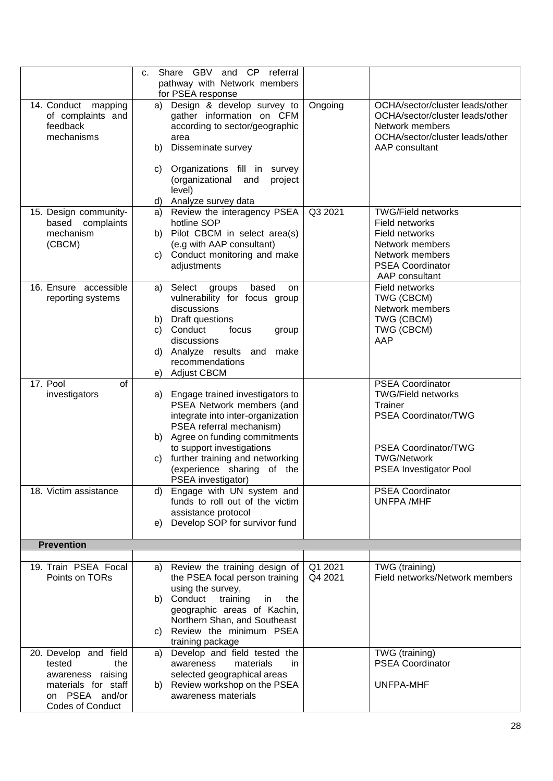|                                                                                                 | Share GBV and CP referral<br>c.<br>pathway with Network members<br>for PSEA response                                                                                |                    |                                                                                                                                            |
|-------------------------------------------------------------------------------------------------|---------------------------------------------------------------------------------------------------------------------------------------------------------------------|--------------------|--------------------------------------------------------------------------------------------------------------------------------------------|
| 14. Conduct mapping<br>of complaints and<br>feedback<br>mechanisms                              | Design & develop survey to<br>a)<br>gather information on CFM<br>according to sector/geographic<br>area<br>Disseminate survey<br>b)                                 | Ongoing            | OCHA/sector/cluster leads/other<br>OCHA/sector/cluster leads/other<br>Network members<br>OCHA/sector/cluster leads/other<br>AAP consultant |
|                                                                                                 | Organizations fill in survey<br>C)<br>(organizational and<br>project<br>level)<br>Analyze survey data<br>d)                                                         |                    |                                                                                                                                            |
| 15. Design community-                                                                           | Review the interagency PSEA<br>a)                                                                                                                                   | Q3 2021            | <b>TWG/Field networks</b>                                                                                                                  |
| based complaints<br>mechanism<br>(CBCM)                                                         | hotline SOP<br>Pilot CBCM in select area(s)<br>b)<br>(e.g with AAP consultant)                                                                                      |                    | Field networks<br>Field networks<br>Network members                                                                                        |
|                                                                                                 | Conduct monitoring and make<br>C)<br>adjustments                                                                                                                    |                    | Network members<br><b>PSEA Coordinator</b><br>AAP consultant                                                                               |
| 16. Ensure accessible<br>reporting systems                                                      | Select<br>based<br>groups<br><b>on</b><br>a)<br>vulnerability for focus group<br>discussions                                                                        |                    | Field networks<br>TWG (CBCM)<br>Network members                                                                                            |
|                                                                                                 | Draft questions<br>b)<br>Conduct<br>C)<br>focus<br>group<br>discussions                                                                                             |                    | TWG (CBCM)<br>TWG (CBCM)<br>AAP                                                                                                            |
|                                                                                                 | Analyze results and<br>make<br>d)<br>recommendations                                                                                                                |                    |                                                                                                                                            |
| 17. Pool<br>οf                                                                                  | Adjust CBCM<br>e)                                                                                                                                                   |                    | <b>PSEA Coordinator</b>                                                                                                                    |
| investigators                                                                                   | Engage trained investigators to<br>a)<br>PSEA Network members (and<br>integrate into inter-organization<br>PSEA referral mechanism)<br>Agree on funding commitments |                    | <b>TWG/Field networks</b><br>Trainer<br>PSEA Coordinator/TWG                                                                               |
|                                                                                                 | b)<br>to support investigations<br>further training and networking<br>C)<br>(experience sharing of the<br>PSEA investigator)                                        |                    | PSEA Coordinator/TWG<br><b>TWG/Network</b><br>PSEA Investigator Pool                                                                       |
| 18. Victim assistance                                                                           | Engage with UN system and<br>d)<br>funds to roll out of the victim<br>assistance protocol                                                                           |                    | <b>PSEA Coordinator</b><br><b>UNFPA/MHF</b>                                                                                                |
|                                                                                                 | Develop SOP for survivor fund<br>e)                                                                                                                                 |                    |                                                                                                                                            |
| <b>Prevention</b>                                                                               |                                                                                                                                                                     |                    |                                                                                                                                            |
| 19. Train PSEA Focal<br>Points on TORs                                                          | Review the training design of<br>a)<br>the PSEA focal person training<br>using the survey,                                                                          | Q1 2021<br>Q4 2021 | TWG (training)<br>Field networks/Network members                                                                                           |
|                                                                                                 | Conduct<br>training<br>the<br>b)<br>in<br>geographic areas of Kachin,<br>Northern Shan, and Southeast<br>Review the minimum PSEA<br>C)                              |                    |                                                                                                                                            |
| 20. Develop and field                                                                           | training package<br>Develop and field tested the<br>a)                                                                                                              |                    | TWG (training)                                                                                                                             |
| tested<br>the<br>awareness raising<br>materials for staff<br>on PSEA and/or<br>Codes of Conduct | awareness<br>materials<br>in<br>selected geographical areas<br>b) Review workshop on the PSEA<br>awareness materials                                                |                    | <b>PSEA Coordinator</b><br><b>UNFPA-MHF</b>                                                                                                |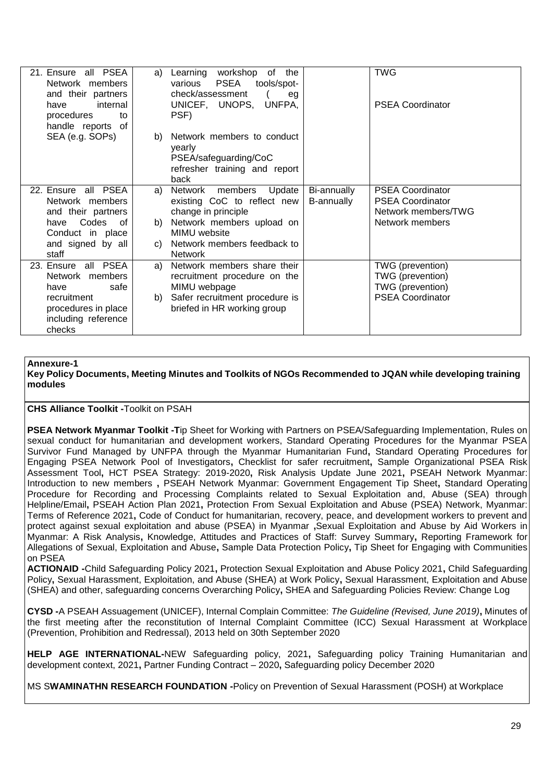| 21. Ensure all PSEA<br>Network members<br>and their partners<br>internal<br>have<br>procedures<br>to<br>handle reports of              | a)             | Learning<br>workshop<br>of<br>the<br>PSEA<br>tools/spot-<br>various<br>check/assessment<br>eq<br>UNICEF, UNOPS, UNFPA,<br>PSF)                                 |                           | <b>TWG</b><br><b>PSEA Coordinator</b>                                                        |
|----------------------------------------------------------------------------------------------------------------------------------------|----------------|----------------------------------------------------------------------------------------------------------------------------------------------------------------|---------------------------|----------------------------------------------------------------------------------------------|
| SEA (e.g. SOPs)                                                                                                                        | b)             | Network members to conduct<br>yearly<br>PSEA/safeguarding/CoC<br>refresher training and report<br>back                                                         |                           |                                                                                              |
| 22. Ensure<br>all PSEA<br>Network members<br>and their partners<br>Codes<br>have<br>0f<br>Conduct in place<br>and signed by all        | a)<br>b)<br>C) | Network members<br>Update<br>existing CoC to reflect new<br>change in principle<br>Network members upload on<br>MIMU website<br>Network members feedback to    | Bi-annually<br>B-annually | <b>PSEA Coordinator</b><br><b>PSEA Coordinator</b><br>Network members/TWG<br>Network members |
| staff<br>23. Ensure all PSEA<br>Network members<br>safe<br>have<br>recruitment<br>procedures in place<br>including reference<br>checks | a)<br>b)       | <b>Network</b><br>Network members share their<br>recruitment procedure on the<br>MIMU webpage<br>Safer recruitment procedure is<br>briefed in HR working group |                           | TWG (prevention)<br>TWG (prevention)<br>TWG (prevention)<br><b>PSEA Coordinator</b>          |

## **Annexure-1**

**Key Policy Documents, Meeting Minutes and Toolkits of NGOs Recommended to JQAN while developing training modules** 

#### **CHS Alliance Toolkit -**Toolkit on PSAH

**PSEA Network Myanmar Toolkit -T**ip Sheet for Working with Partners on PSEA/Safeguarding Implementation, Rules on sexual conduct for humanitarian and development workers, Standard Operating Procedures for the Myanmar PSEA Survivor Fund Managed by UNFPA through the Myanmar Humanitarian Fund**,** Standard Operating Procedures for Engaging PSEA Network Pool of Investigators**,** Checklist for safer recruitment**,** Sample Organizational PSEA Risk Assessment Tool**,** HCT PSEA Strategy: 2019-2020**,** Risk Analysis Update June 2021**,** PSEAH Network Myanmar: Introduction to new members **,** PSEAH Network Myanmar: Government Engagement Tip Sheet**,** Standard Operating Procedure for Recording and Processing Complaints related to Sexual Exploitation and, Abuse (SEA) through Helpline/Email**,** PSEAH Action Plan 2021**,** Protection From Sexual Exploitation and Abuse (PSEA) Network, Myanmar: Terms of Reference 2021**,** Code of Conduct for humanitarian, recovery, peace, and development workers to prevent and protect against sexual exploitation and abuse (PSEA) in Myanmar **,**Sexual Exploitation and Abuse by Aid Workers in Myanmar: A Risk Analysis**,** Knowledge, Attitudes and Practices of Staff: Survey Summary**,** Reporting Framework for Allegations of Sexual, Exploitation and Abuse**,** Sample Data Protection Policy**,** Tip Sheet for Engaging with Communities on PSEA

**ACTIONAID -**Child Safeguarding Policy 2021**,** Protection Sexual Exploitation and Abuse Policy 2021**,** Child Safeguarding Policy**,** Sexual Harassment, Exploitation, and Abuse (SHEA) at Work Policy**,** Sexual Harassment, Exploitation and Abuse (SHEA) and other, safeguarding concerns Overarching Policy**,** SHEA and Safeguarding Policies Review: Change Log

**CYSD -**A PSEAH Assuagement (UNICEF), Internal Complain Committee: *The Guideline (Revised, June 2019)***,** Minutes of the first meeting after the reconstitution of Internal Complaint Committee (ICC) Sexual Harassment at Workplace (Prevention, Prohibition and Redressal), 2013 held on 30th September 2020

**HELP AGE INTERNATIONAL-**NEW Safeguarding policy, 2021**,** Safeguarding policy Training Humanitarian and development context, 2021**,** Partner Funding Contract – 2020**,** Safeguarding policy December 2020

MS S**WAMINATHN RESEARCH FOUNDATION -**Policy on Prevention of Sexual Harassment (POSH) at Workplace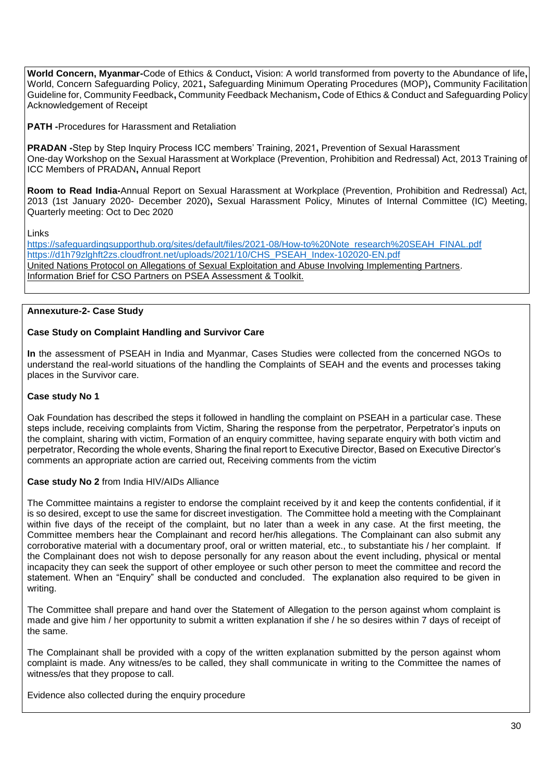**World Concern, Myanmar-**Code of Ethics & Conduct**,** Vision: A world transformed from poverty to the Abundance of life**,**  World, Concern Safeguarding Policy, 2021**,** Safeguarding Minimum Operating Procedures (MOP)**,** Community Facilitation Guideline for, Community Feedback**,** Community Feedback Mechanism**,** Code of Ethics & Conduct and Safeguarding Policy Acknowledgement of Receipt

**PATH -**Procedures for Harassment and Retaliation

**PRADAN -**Step by Step Inquiry Process ICC members' Training, 2021**,** Prevention of Sexual Harassment One-day Workshop on the Sexual Harassment at Workplace (Prevention, Prohibition and Redressal) Act, 2013 Training of ICC Members of PRADAN**,** Annual Report

**Room to Read India-**Annual Report on Sexual Harassment at Workplace (Prevention, Prohibition and Redressal) Act, 2013 (1st January 2020- December 2020)**,** Sexual Harassment Policy, Minutes of Internal Committee (IC) Meeting, Quarterly meeting: Oct to Dec 2020

Links

[https://safeguardingsupporthub.org/sites/default/files/2021-08/How-to%20Note\\_research%20SEAH\\_FINAL.pdf](https://safeguardingsupporthub.org/sites/default/files/2021-08/How-to%20Note_research%20SEAH_FINAL.pdf) [https://d1h79zlghft2zs.cloudfront.net/uploads/2021/10/CHS\\_PSEAH\\_Index-102020-EN.pdf](https://d1h79zlghft2zs.cloudfront.net/uploads/2021/10/CHS_PSEAH_Index-102020-EN.pdf) United Nations Protocol on Allegations of Sexual Exploitation and [Abuse Involving Implementing Partners.](https://www.un.org/preventing-sexual-exploitation-and-abuse/sites/www.un.org.preventing-sexual-exploitation-and-abuse/files/un_protocol_on_sea_allegations_involving_implementing_partners_en.pdf) [Information Brief for CSO Partners on PSEA Assessment & Toolkit.](https://www.unicef.org/about/partnerships/files/Information-Brief-PSEA-Assessment-PSEA-Toolkit-for-CSO-Partners-24-Jan-2020.pdf)

## **Annexuture-2- Case Study**

## **Case Study on Complaint Handling and Survivor Care**

**In** the assessment of PSEAH in India and Myanmar, Cases Studies were collected from the concerned NGOs to understand the real-world situations of the handling the Complaints of SEAH and the events and processes taking places in the Survivor care.

## **Case study No 1**

Oak Foundation has described the steps it followed in handling the complaint on PSEAH in a particular case. These steps include, receiving complaints from Victim, Sharing the response from the perpetrator, Perpetrator's inputs on the complaint, sharing with victim, Formation of an enquiry committee, having separate enquiry with both victim and perpetrator, Recording the whole events, Sharing the final report to Executive Director, Based on Executive Director's comments an appropriate action are carried out, Receiving comments from the victim

## **Case study No 2** from India HIV/AIDs Alliance

The Committee maintains a register to endorse the complaint received by it and keep the contents confidential, if it is so desired, except to use the same for discreet investigation. The Committee hold a meeting with the Complainant within five days of the receipt of the complaint, but no later than a week in any case. At the first meeting, the Committee members hear the Complainant and record her/his allegations. The Complainant can also submit any corroborative material with a documentary proof, oral or written material, etc., to substantiate his / her complaint. If the Complainant does not wish to depose personally for any reason about the event including, physical or mental incapacity they can seek the support of other employee or such other person to meet the committee and record the statement. When an "Enquiry" shall be conducted and concluded. The explanation also required to be given in writing.

The Committee shall prepare and hand over the Statement of Allegation to the person against whom complaint is made and give him / her opportunity to submit a written explanation if she / he so desires within 7 days of receipt of the same.

The Complainant shall be provided with a copy of the written explanation submitted by the person against whom complaint is made. Any witness/es to be called, they shall communicate in writing to the Committee the names of witness/es that they propose to call.

Evidence also collected during the enquiry procedure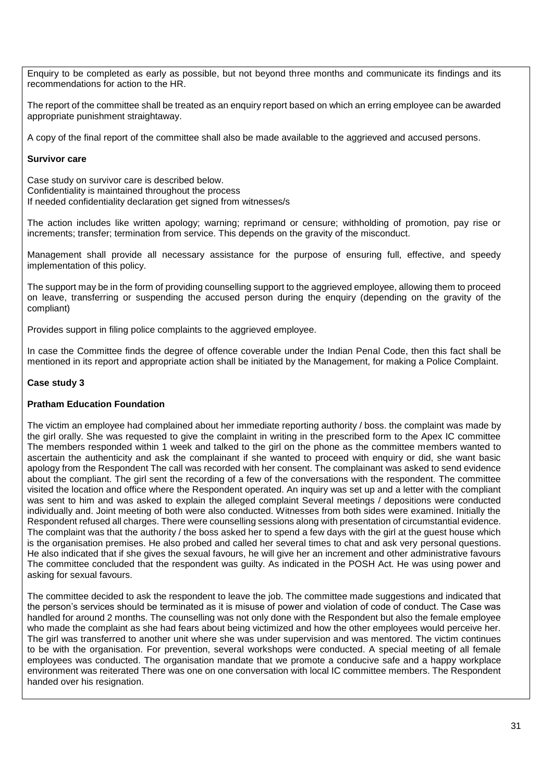Enquiry to be completed as early as possible, but not beyond three months and communicate its findings and its recommendations for action to the HR.

The report of the committee shall be treated as an enquiry report based on which an erring employee can be awarded appropriate punishment straightaway.

A copy of the final report of the committee shall also be made available to the aggrieved and accused persons.

#### **Survivor care**

Case study on survivor care is described below. Confidentiality is maintained throughout the process If needed confidentiality declaration get signed from witnesses/s

The action includes like written apology; warning; reprimand or censure; withholding of promotion, pay rise or increments; transfer; termination from service. This depends on the gravity of the misconduct.

Management shall provide all necessary assistance for the purpose of ensuring full, effective, and speedy implementation of this policy.

The support may be in the form of providing counselling support to the aggrieved employee, allowing them to proceed on leave, transferring or suspending the accused person during the enquiry (depending on the gravity of the compliant)

Provides support in filing police complaints to the aggrieved employee.

In case the Committee finds the degree of offence coverable under the Indian Penal Code, then this fact shall be mentioned in its report and appropriate action shall be initiated by the Management, for making a Police Complaint.

## **Case study 3**

## **Pratham Education Foundation**

The victim an employee had complained about her immediate reporting authority / boss. the complaint was made by the girl orally. She was requested to give the complaint in writing in the prescribed form to the Apex IC committee The members responded within 1 week and talked to the girl on the phone as the committee members wanted to ascertain the authenticity and ask the complainant if she wanted to proceed with enquiry or did, she want basic apology from the Respondent The call was recorded with her consent. The complainant was asked to send evidence about the compliant. The girl sent the recording of a few of the conversations with the respondent. The committee visited the location and office where the Respondent operated. An inquiry was set up and a letter with the compliant was sent to him and was asked to explain the alleged complaint Several meetings / depositions were conducted individually and. Joint meeting of both were also conducted. Witnesses from both sides were examined. Initially the Respondent refused all charges. There were counselling sessions along with presentation of circumstantial evidence. The complaint was that the authority / the boss asked her to spend a few days with the girl at the guest house which is the organisation premises. He also probed and called her several times to chat and ask very personal questions. He also indicated that if she gives the sexual favours, he will give her an increment and other administrative favours The committee concluded that the respondent was guilty. As indicated in the POSH Act. He was using power and asking for sexual favours.

The committee decided to ask the respondent to leave the job. The committee made suggestions and indicated that the person's services should be terminated as it is misuse of power and violation of code of conduct. The Case was handled for around 2 months. The counselling was not only done with the Respondent but also the female employee who made the complaint as she had fears about being victimized and how the other employees would perceive her. The girl was transferred to another unit where she was under supervision and was mentored. The victim continues to be with the organisation. For prevention, several workshops were conducted. A special meeting of all female employees was conducted. The organisation mandate that we promote a conducive safe and a happy workplace environment was reiterated There was one on one conversation with local IC committee members. The Respondent handed over his resignation.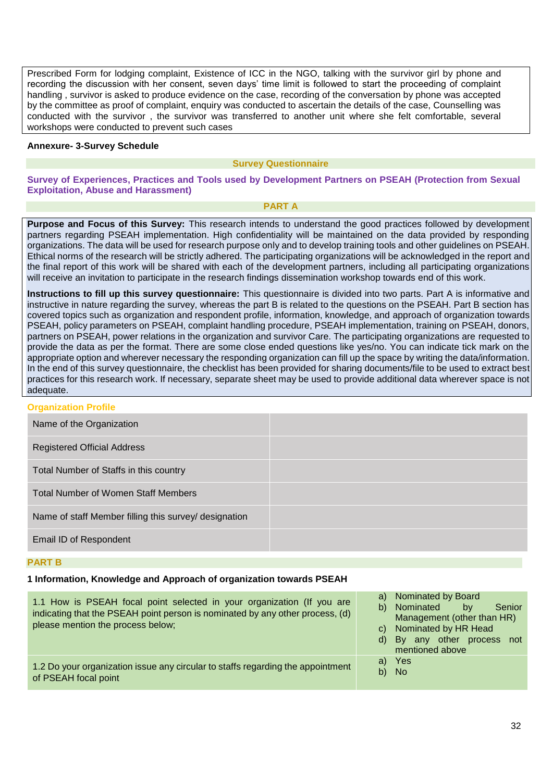Prescribed Form for lodging complaint, Existence of ICC in the NGO, talking with the survivor girl by phone and recording the discussion with her consent, seven days' time limit is followed to start the proceeding of complaint handling , survivor is asked to produce evidence on the case, recording of the conversation by phone was accepted by the committee as proof of complaint, enquiry was conducted to ascertain the details of the case, Counselling was conducted with the survivor , the survivor was transferred to another unit where she felt comfortable, several workshops were conducted to prevent such cases

#### **Annexure- 3-Survey Schedule**

#### **Survey Questionnaire**

**Survey of Experiences, Practices and Tools used by Development Partners on PSEAH (Protection from Sexual Exploitation, Abuse and Harassment)**

#### **PART A**

**Purpose and Focus of this Survey:** This research intends to understand the good practices followed by development partners regarding PSEAH implementation. High confidentiality will be maintained on the data provided by responding organizations. The data will be used for research purpose only and to develop training tools and other guidelines on PSEAH. Ethical norms of the research will be strictly adhered. The participating organizations will be acknowledged in the report and the final report of this work will be shared with each of the development partners, including all participating organizations will receive an invitation to participate in the research findings dissemination workshop towards end of this work.

**Instructions to fill up this survey questionnaire:** This questionnaire is divided into two parts. Part A is informative and instructive in nature regarding the survey, whereas the part B is related to the questions on the PSEAH. Part B section has covered topics such as organization and respondent profile, information, knowledge, and approach of organization towards PSEAH, policy parameters on PSEAH, complaint handling procedure, PSEAH implementation, training on PSEAH, donors, partners on PSEAH, power relations in the organization and survivor Care. The participating organizations are requested to provide the data as per the format. There are some close ended questions like yes/no. You can indicate tick mark on the appropriate option and wherever necessary the responding organization can fill up the space by writing the data/information. In the end of this survey questionnaire, the checklist has been provided for sharing documents/file to be used to extract best practices for this research work. If necessary, separate sheet may be used to provide additional data wherever space is not adequate.

| <b>Organization Profile</b>                           |  |
|-------------------------------------------------------|--|
| Name of the Organization                              |  |
| <b>Registered Official Address</b>                    |  |
| Total Number of Staffs in this country                |  |
| <b>Total Number of Women Staff Members</b>            |  |
| Name of staff Member filling this survey/ designation |  |
| Email ID of Respondent                                |  |

#### **PART B**

#### **1 Information, Knowledge and Approach of organization towards PSEAH**

| 1.1 How is PSEAH focal point selected in your organization (If you are<br>indicating that the PSEAH point person is nominated by any other process, (d)<br>please mention the process below; | a) Nominated by Board<br>b) Nominated<br>by<br>Senior<br>Management (other than HR)<br>c) Nominated by HR Head<br>d) By any other process not<br>mentioned above |
|----------------------------------------------------------------------------------------------------------------------------------------------------------------------------------------------|------------------------------------------------------------------------------------------------------------------------------------------------------------------|
| 1.2 Do your organization issue any circular to staffs regarding the appointment                                                                                                              | a) Yes                                                                                                                                                           |
| of PSEAH focal point                                                                                                                                                                         | b) No                                                                                                                                                            |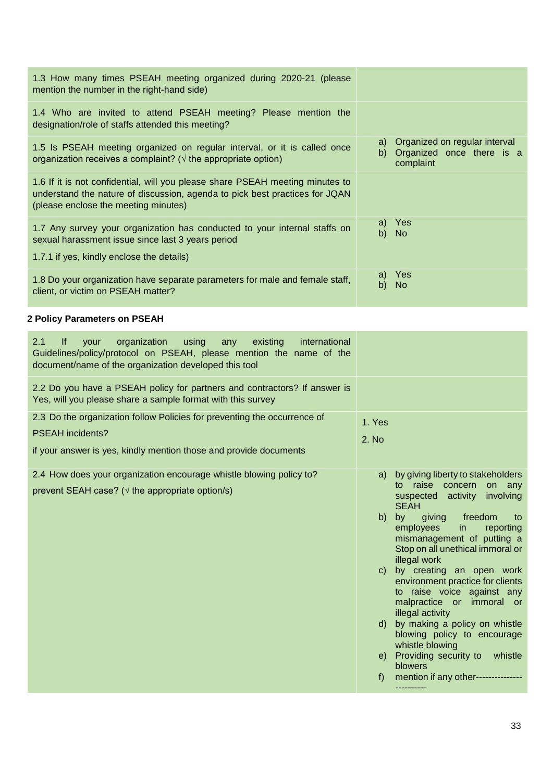| 1.3 How many times PSEAH meeting organized during 2020-21 (please<br>mention the number in the right-hand side)                                                                                      |                                                                                  |
|------------------------------------------------------------------------------------------------------------------------------------------------------------------------------------------------------|----------------------------------------------------------------------------------|
| 1.4 Who are invited to attend PSEAH meeting? Please mention the<br>designation/role of staffs attended this meeting?                                                                                 |                                                                                  |
| 1.5 Is PSEAH meeting organized on regular interval, or it is called once<br>organization receives a complaint? ( $\sqrt{ }$ the appropriate option)                                                  | Organized on regular interval<br>a)<br>b) Organized once there is a<br>complaint |
| 1.6 If it is not confidential, will you please share PSEAH meeting minutes to<br>understand the nature of discussion, agenda to pick best practices for JQAN<br>(please enclose the meeting minutes) |                                                                                  |
| 1.7 Any survey your organization has conducted to your internal staffs on<br>sexual harassment issue since last 3 years period<br>1.7.1 if yes, kindly enclose the details)                          | a) Yes<br>b) No                                                                  |
| 1.8 Do your organization have separate parameters for male and female staff,<br>client, or victim on PSEAH matter?                                                                                   | Yes<br>a)<br>b)<br><b>No</b>                                                     |

## **2 Policy Parameters on PSEAH**

| 2.1<br>lf.<br>organization<br>using<br>existing<br>international<br>vour<br>any<br>Guidelines/policy/protocol on PSEAH, please mention the name of the<br>document/name of the organization developed this tool |                                                                                                                                                                                                                                                                                                                                                                                                                                                                                                                                                                                                                                               |
|-----------------------------------------------------------------------------------------------------------------------------------------------------------------------------------------------------------------|-----------------------------------------------------------------------------------------------------------------------------------------------------------------------------------------------------------------------------------------------------------------------------------------------------------------------------------------------------------------------------------------------------------------------------------------------------------------------------------------------------------------------------------------------------------------------------------------------------------------------------------------------|
| 2.2 Do you have a PSEAH policy for partners and contractors? If answer is<br>Yes, will you please share a sample format with this survey                                                                        |                                                                                                                                                                                                                                                                                                                                                                                                                                                                                                                                                                                                                                               |
| 2.3 Do the organization follow Policies for preventing the occurrence of<br><b>PSEAH</b> incidents?<br>if your answer is yes, kindly mention those and provide documents                                        | 1. Yes<br>2. No                                                                                                                                                                                                                                                                                                                                                                                                                                                                                                                                                                                                                               |
| 2.4 How does your organization encourage whistle blowing policy to?<br>prevent SEAH case? ( $\sqrt{ }$ the appropriate option/s)                                                                                | a) by giving liberty to stakeholders<br>raise concern on any<br>to<br>suspected activity involving<br><b>SEAH</b><br>giving freedom<br>b)<br>by<br>to<br>employees<br>in<br>reporting<br>mismanagement of putting a<br>Stop on all unethical immoral or<br>illegal work<br>by creating an open work<br>$\mathsf{C}$ )<br>environment practice for clients<br>to raise voice against any<br>malpractice or immoral or<br>illegal activity<br>by making a policy on whistle<br>d)<br>blowing policy to encourage<br>whistle blowing<br>e) Providing security to<br>whistle<br>blowers<br>mention if any other---------------<br>f<br>---------- |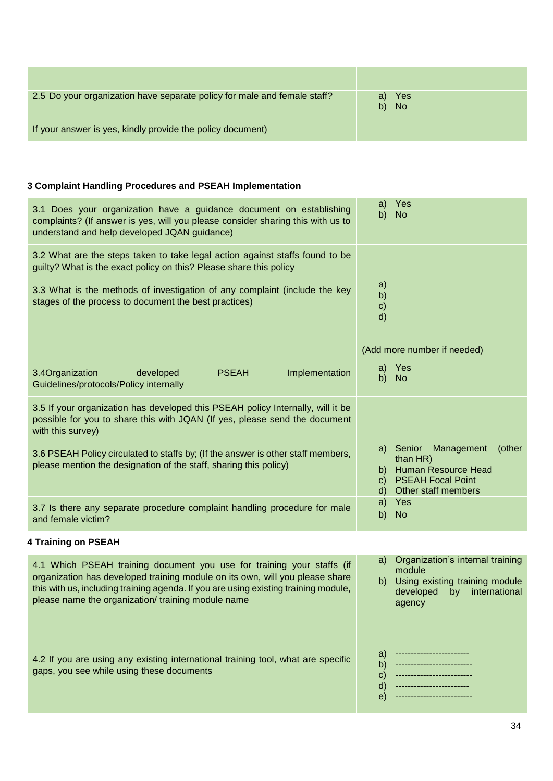| 2.5 Do your organization have separate policy for male and female staff? | a) Yes<br>b) No |
|--------------------------------------------------------------------------|-----------------|
| If your answer is yes, kindly provide the policy document)               |                 |

## **3 Complaint Handling Procedures and PSEAH Implementation**

| 3.1 Does your organization have a guidance document on establishing<br>complaints? (If answer is yes, will you please consider sharing this with us to<br>understand and help developed JQAN guidance) | Yes<br>a)<br>b)<br><b>No</b>                                                                                                                                    |
|--------------------------------------------------------------------------------------------------------------------------------------------------------------------------------------------------------|-----------------------------------------------------------------------------------------------------------------------------------------------------------------|
| 3.2 What are the steps taken to take legal action against staffs found to be<br>guilty? What is the exact policy on this? Please share this policy                                                     |                                                                                                                                                                 |
| 3.3 What is the methods of investigation of any complaint (include the key<br>stages of the process to document the best practices)                                                                    | a)<br>b)<br>$\mathsf{c})$<br>$\mathsf{d}$<br>(Add more number if needed)                                                                                        |
| 3.4Organization<br>Implementation<br>developed<br><b>PSEAH</b><br>Guidelines/protocols/Policy internally                                                                                               | Yes<br>a)<br>b)<br><b>No</b>                                                                                                                                    |
| 3.5 If your organization has developed this PSEAH policy Internally, will it be<br>possible for you to share this with JQAN (If yes, please send the document<br>with this survey)                     |                                                                                                                                                                 |
| 3.6 PSEAH Policy circulated to staffs by; (If the answer is other staff members,<br>please mention the designation of the staff, sharing this policy)                                                  | a) Senior<br>Management<br>(other<br>than $HR)$<br>Human Resource Head<br>b)<br><b>PSEAH Focal Point</b><br>$\mathsf{C}$<br>Other staff members<br>$\mathsf{d}$ |
| 3.7 Is there any separate procedure complaint handling procedure for male<br>and female victim?                                                                                                        | Yes<br>a)<br>b)<br><b>No</b>                                                                                                                                    |
| 4 Training on PSEAH                                                                                                                                                                                    |                                                                                                                                                                 |

| 4.1 Which PSEAH training document you use for training your staffs (if<br>organization has developed training module on its own, will you please share<br>this with us, including training agenda. If you are using existing training module,<br>please name the organization/training module name | a) Organization's internal training<br>module<br>Using existing training module<br>b)<br>international<br>developed<br>by<br>agency |
|----------------------------------------------------------------------------------------------------------------------------------------------------------------------------------------------------------------------------------------------------------------------------------------------------|-------------------------------------------------------------------------------------------------------------------------------------|
| 4.2 If you are using any existing international training tool, what are specific                                                                                                                                                                                                                   | a)                                                                                                                                  |
| gaps, you see while using these documents                                                                                                                                                                                                                                                          | $\epsilon$                                                                                                                          |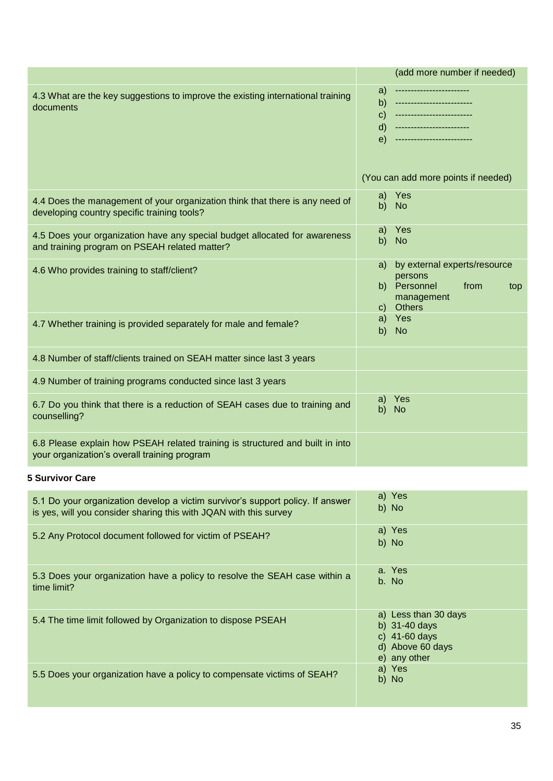|                                                                                                                                                     | (add more number if needed)                                                                                                                    |
|-----------------------------------------------------------------------------------------------------------------------------------------------------|------------------------------------------------------------------------------------------------------------------------------------------------|
| 4.3 What are the key suggestions to improve the existing international training<br>documents                                                        | a)<br><br>b)<br>--------------------<br>$\mathbf{C}$<br>------------------------<br>d)<br>---------------------<br>e)<br>--------------------- |
|                                                                                                                                                     | (You can add more points if needed)                                                                                                            |
| 4.4 Does the management of your organization think that there is any need of<br>developing country specific training tools?                         | Yes<br>a)<br><b>No</b><br>b)                                                                                                                   |
| 4.5 Does your organization have any special budget allocated for awareness<br>and training program on PSEAH related matter?                         | Yes<br>a)<br><b>No</b><br>b)                                                                                                                   |
| 4.6 Who provides training to staff/client?                                                                                                          | by external experts/resource<br>a)<br>persons<br>b) Personnel<br>from<br>top<br>management<br><b>Others</b><br>C)                              |
| 4.7 Whether training is provided separately for male and female?                                                                                    | Yes<br>a)<br><b>No</b><br>b)                                                                                                                   |
| 4.8 Number of staff/clients trained on SEAH matter since last 3 years                                                                               |                                                                                                                                                |
| 4.9 Number of training programs conducted since last 3 years                                                                                        |                                                                                                                                                |
| 6.7 Do you think that there is a reduction of SEAH cases due to training and<br>counselling?                                                        | Yes<br>a)<br>b)<br><b>No</b>                                                                                                                   |
| 6.8 Please explain how PSEAH related training is structured and built in into<br>your organization's overall training program                       |                                                                                                                                                |
| <b>5 Survivor Care</b>                                                                                                                              |                                                                                                                                                |
| 5.1 Do your organization develop a victim survivor's support policy. If answer<br>is yes, will you consider sharing this with JQAN with this survey | a) Yes<br>b) No                                                                                                                                |
| 5.2 Any Protocol document followed for victim of PSEAH?                                                                                             | a) Yes<br>b) No                                                                                                                                |
| 5.3 Does your organization have a policy to resolve the SEAH case within a<br>time limit?                                                           | a. Yes<br>b. No                                                                                                                                |
| 5.4 The time limit followed by Organization to dispose PSEAH                                                                                        | a) Less than 30 days<br>b) 31-40 days<br>c) 41-60 days                                                                                         |

5.5 Does your organization have a policy to compensate victims of SEAH?

d) Above 60 days e) any other

b) No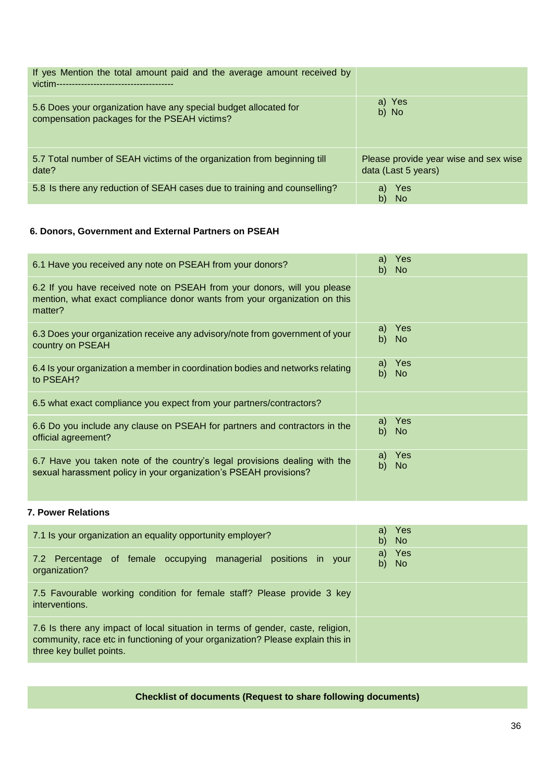| If yes Mention the total amount paid and the average amount received by   |                                       |
|---------------------------------------------------------------------------|---------------------------------------|
| 5.6 Does your organization have any special budget allocated for          | a) Yes                                |
| compensation packages for the PSEAH victims?                              | b) No                                 |
| 5.7 Total number of SEAH victims of the organization from beginning till  | Please provide year wise and sex wise |
| date?                                                                     | data (Last 5 years)                   |
| 5.8 Is there any reduction of SEAH cases due to training and counselling? | Yes<br>a)<br>b)<br>- No               |

# **6. Donors, Government and External Partners on PSEAH**

| 6.1 Have you received any note on PSEAH from your donors?                                                                                                        | Yes<br>a)<br>b)<br>No. |
|------------------------------------------------------------------------------------------------------------------------------------------------------------------|------------------------|
| 6.2 If you have received note on PSEAH from your donors, will you please<br>mention, what exact compliance donor wants from your organization on this<br>matter? |                        |
| 6.3 Does your organization receive any advisory/note from government of your<br>country on PSEAH                                                                 | Yes<br>a)<br>b)<br>No. |
| 6.4 Is your organization a member in coordination bodies and networks relating<br>to PSEAH?                                                                      | a) Yes<br>b)<br>No     |
| 6.5 what exact compliance you expect from your partners/contractors?                                                                                             |                        |
| 6.6 Do you include any clause on PSEAH for partners and contractors in the<br>official agreement?                                                                | a) Yes<br>b)<br>No.    |
| 6.7 Have you taken note of the country's legal provisions dealing with the<br>sexual harassment policy in your organization's PSEAH provisions?                  | a) Yes<br>b)<br>No.    |

## **7. Power Relations**

| 7.1 Is your organization an equality opportunity employer?                                                                                                                                     | a) Yes<br>b) No |
|------------------------------------------------------------------------------------------------------------------------------------------------------------------------------------------------|-----------------|
| 7.2 Percentage of female occupying managerial positions in your<br>organization?                                                                                                               | a) Yes<br>b) No |
| 7.5 Favourable working condition for female staff? Please provide 3 key<br>interventions.                                                                                                      |                 |
| 7.6 Is there any impact of local situation in terms of gender, caste, religion,<br>community, race etc in functioning of your organization? Please explain this in<br>three key bullet points. |                 |

# **Checklist of documents (Request to share following documents)**